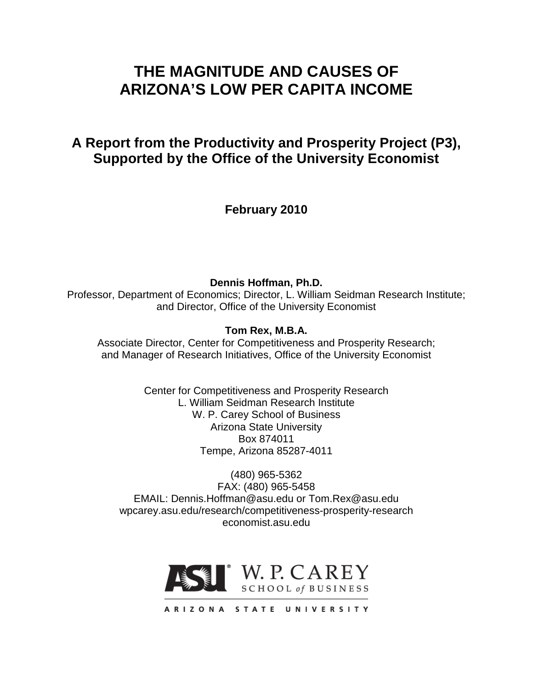# **THE MAGNITUDE AND CAUSES OF ARIZONA'S LOW PER CAPITA INCOME**

# **A Report from the Productivity and Prosperity Project (P3), Supported by the Office of the University Economist**

**February 2010**

**Dennis Hoffman, Ph.D.** Professor, Department of Economics; Director, L. William Seidman Research Institute; and Director, Office of the University Economist

## **Tom Rex, M.B.A.**

Associate Director, Center for Competitiveness and Prosperity Research; and Manager of Research Initiatives, Office of the University Economist

> Center for Competitiveness and Prosperity Research L. William Seidman Research Institute W. P. Carey School of Business Arizona State University Box 874011 Tempe, Arizona 85287-4011

(480) 965-5362 FAX: (480) 965-5458 EMAIL: Dennis.Hoffman@asu.edu or Tom.Rex@asu.edu wpcarey.asu.edu/research/competitiveness-prosperity-research economist.asu.edu



ARIZONA STATE UNIVERSITY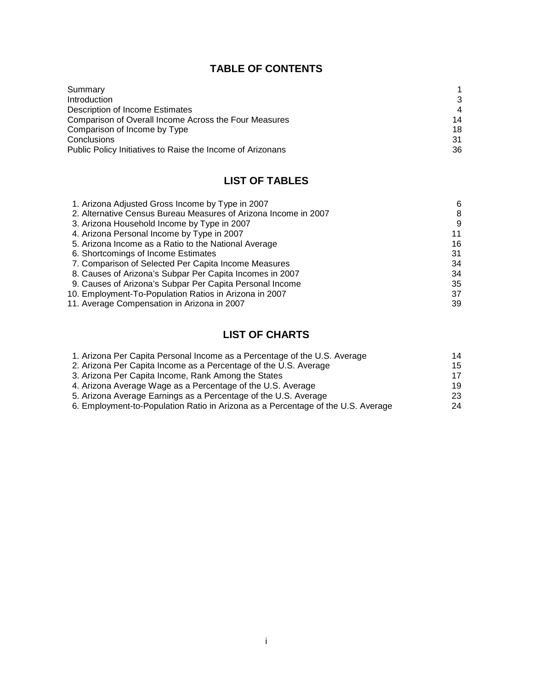# **TABLE OF CONTENTS**

| Summary                                                    |                |
|------------------------------------------------------------|----------------|
| <b>Introduction</b>                                        | 3              |
| Description of Income Estimates                            | $\overline{4}$ |
| Comparison of Overall Income Across the Four Measures      | 14             |
| Comparison of Income by Type                               | 18             |
| <b>Conclusions</b>                                         | 31             |
| Public Policy Initiatives to Raise the Income of Arizonans | 36             |

# **LIST OF TABLES**

| 1. Arizona Adjusted Gross Income by Type in 2007                | 6  |
|-----------------------------------------------------------------|----|
| 2. Alternative Census Bureau Measures of Arizona Income in 2007 | 8  |
| 3. Arizona Household Income by Type in 2007                     | 9  |
| 4. Arizona Personal Income by Type in 2007                      | 11 |
| 5. Arizona Income as a Ratio to the National Average            | 16 |
| 6. Shortcomings of Income Estimates                             | 31 |
| 7. Comparison of Selected Per Capita Income Measures            | 34 |
| 8. Causes of Arizona's Subpar Per Capita Incomes in 2007        | 34 |
| 9. Causes of Arizona's Subpar Per Capita Personal Income        | 35 |
| 10. Employment-To-Population Ratios in Arizona in 2007          | 37 |
| 11. Average Compensation in Arizona in 2007                     | 39 |

# **LIST OF CHARTS**

| 1. Arizona Per Capita Personal Income as a Percentage of the U.S. Average        | 14 |
|----------------------------------------------------------------------------------|----|
| 2. Arizona Per Capita Income as a Percentage of the U.S. Average                 | 15 |
| 3. Arizona Per Capita Income, Rank Among the States                              | 17 |
| 4. Arizona Average Wage as a Percentage of the U.S. Average                      | 19 |
| 5. Arizona Average Earnings as a Percentage of the U.S. Average                  | 23 |
| 6. Employment-to-Population Ratio in Arizona as a Percentage of the U.S. Average | 24 |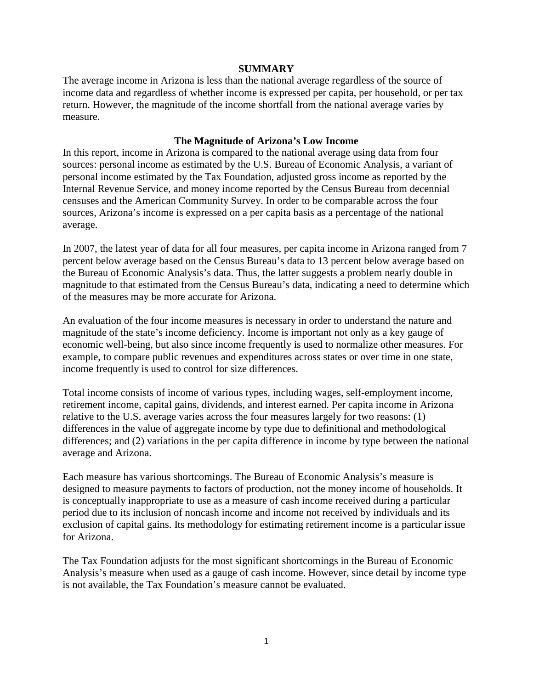#### **SUMMARY**

The average income in Arizona is less than the national average regardless of the source of income data and regardless of whether income is expressed per capita, per household, or per tax return. However, the magnitude of the income shortfall from the national average varies by measure.

## **The Magnitude of Arizona's Low Income**

In this report, income in Arizona is compared to the national average using data from four sources: personal income as estimated by the U.S. Bureau of Economic Analysis, a variant of personal income estimated by the Tax Foundation, adjusted gross income as reported by the Internal Revenue Service, and money income reported by the Census Bureau from decennial censuses and the American Community Survey. In order to be comparable across the four sources, Arizona's income is expressed on a per capita basis as a percentage of the national average.

In 2007, the latest year of data for all four measures, per capita income in Arizona ranged from 7 percent below average based on the Census Bureau's data to 13 percent below average based on the Bureau of Economic Analysis's data. Thus, the latter suggests a problem nearly double in magnitude to that estimated from the Census Bureau's data, indicating a need to determine which of the measures may be more accurate for Arizona.

An evaluation of the four income measures is necessary in order to understand the nature and magnitude of the state's income deficiency. Income is important not only as a key gauge of economic well-being, but also since income frequently is used to normalize other measures. For example, to compare public revenues and expenditures across states or over time in one state, income frequently is used to control for size differences.

Total income consists of income of various types, including wages, self-employment income, retirement income, capital gains, dividends, and interest earned. Per capita income in Arizona relative to the U.S. average varies across the four measures largely for two reasons: (1) differences in the value of aggregate income by type due to definitional and methodological differences; and (2) variations in the per capita difference in income by type between the national average and Arizona.

Each measure has various shortcomings. The Bureau of Economic Analysis's measure is designed to measure payments to factors of production, not the money income of households. It is conceptually inappropriate to use as a measure of cash income received during a particular period due to its inclusion of noncash income and income not received by individuals and its exclusion of capital gains. Its methodology for estimating retirement income is a particular issue for Arizona.

The Tax Foundation adjusts for the most significant shortcomings in the Bureau of Economic Analysis's measure when used as a gauge of cash income. However, since detail by income type is not available, the Tax Foundation's measure cannot be evaluated.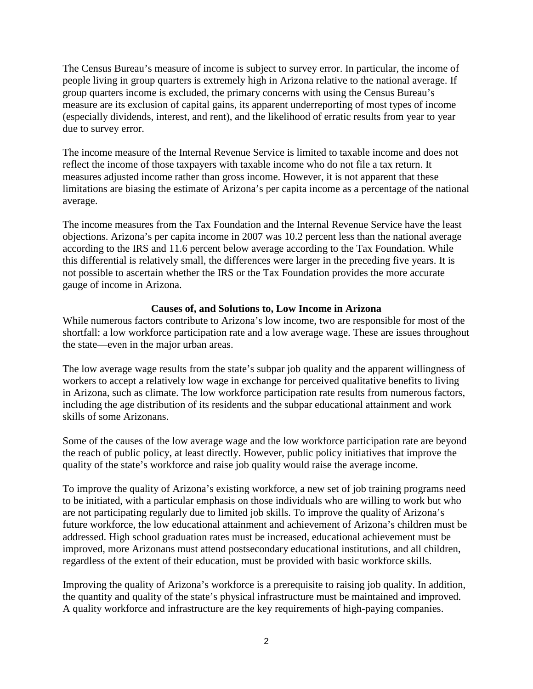The Census Bureau's measure of income is subject to survey error. In particular, the income of people living in group quarters is extremely high in Arizona relative to the national average. If group quarters income is excluded, the primary concerns with using the Census Bureau's measure are its exclusion of capital gains, its apparent underreporting of most types of income (especially dividends, interest, and rent), and the likelihood of erratic results from year to year due to survey error.

The income measure of the Internal Revenue Service is limited to taxable income and does not reflect the income of those taxpayers with taxable income who do not file a tax return. It measures adjusted income rather than gross income. However, it is not apparent that these limitations are biasing the estimate of Arizona's per capita income as a percentage of the national average.

The income measures from the Tax Foundation and the Internal Revenue Service have the least objections. Arizona's per capita income in 2007 was 10.2 percent less than the national average according to the IRS and 11.6 percent below average according to the Tax Foundation. While this differential is relatively small, the differences were larger in the preceding five years. It is not possible to ascertain whether the IRS or the Tax Foundation provides the more accurate gauge of income in Arizona.

## **Causes of, and Solutions to, Low Income in Arizona**

While numerous factors contribute to Arizona's low income, two are responsible for most of the shortfall: a low workforce participation rate and a low average wage. These are issues throughout the state—even in the major urban areas.

The low average wage results from the state's subpar job quality and the apparent willingness of workers to accept a relatively low wage in exchange for perceived qualitative benefits to living in Arizona, such as climate. The low workforce participation rate results from numerous factors, including the age distribution of its residents and the subpar educational attainment and work skills of some Arizonans.

Some of the causes of the low average wage and the low workforce participation rate are beyond the reach of public policy, at least directly. However, public policy initiatives that improve the quality of the state's workforce and raise job quality would raise the average income.

To improve the quality of Arizona's existing workforce, a new set of job training programs need to be initiated, with a particular emphasis on those individuals who are willing to work but who are not participating regularly due to limited job skills. To improve the quality of Arizona's future workforce, the low educational attainment and achievement of Arizona's children must be addressed. High school graduation rates must be increased, educational achievement must be improved, more Arizonans must attend postsecondary educational institutions, and all children, regardless of the extent of their education, must be provided with basic workforce skills.

Improving the quality of Arizona's workforce is a prerequisite to raising job quality. In addition, the quantity and quality of the state's physical infrastructure must be maintained and improved. A quality workforce and infrastructure are the key requirements of high-paying companies.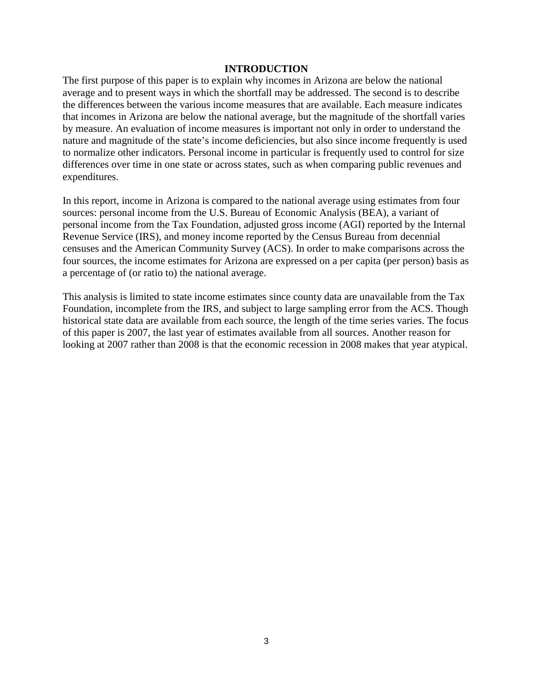#### **INTRODUCTION**

The first purpose of this paper is to explain why incomes in Arizona are below the national average and to present ways in which the shortfall may be addressed. The second is to describe the differences between the various income measures that are available. Each measure indicates that incomes in Arizona are below the national average, but the magnitude of the shortfall varies by measure. An evaluation of income measures is important not only in order to understand the nature and magnitude of the state's income deficiencies, but also since income frequently is used to normalize other indicators. Personal income in particular is frequently used to control for size differences over time in one state or across states, such as when comparing public revenues and expenditures.

In this report, income in Arizona is compared to the national average using estimates from four sources: personal income from the U.S. Bureau of Economic Analysis (BEA), a variant of personal income from the Tax Foundation, adjusted gross income (AGI) reported by the Internal Revenue Service (IRS), and money income reported by the Census Bureau from decennial censuses and the American Community Survey (ACS). In order to make comparisons across the four sources, the income estimates for Arizona are expressed on a per capita (per person) basis as a percentage of (or ratio to) the national average.

This analysis is limited to state income estimates since county data are unavailable from the Tax Foundation, incomplete from the IRS, and subject to large sampling error from the ACS. Though historical state data are available from each source, the length of the time series varies. The focus of this paper is 2007, the last year of estimates available from all sources. Another reason for looking at 2007 rather than 2008 is that the economic recession in 2008 makes that year atypical.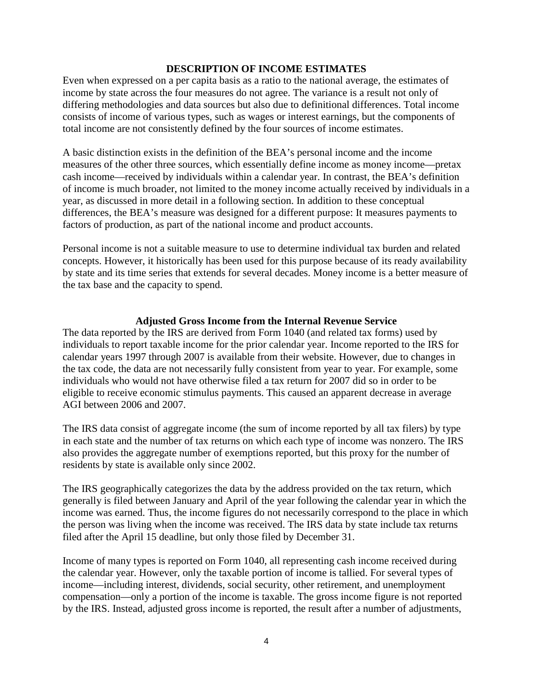#### **DESCRIPTION OF INCOME ESTIMATES**

Even when expressed on a per capita basis as a ratio to the national average, the estimates of income by state across the four measures do not agree. The variance is a result not only of differing methodologies and data sources but also due to definitional differences. Total income consists of income of various types, such as wages or interest earnings, but the components of total income are not consistently defined by the four sources of income estimates.

A basic distinction exists in the definition of the BEA's personal income and the income measures of the other three sources, which essentially define income as money income—pretax cash income—received by individuals within a calendar year. In contrast, the BEA's definition of income is much broader, not limited to the money income actually received by individuals in a year, as discussed in more detail in a following section. In addition to these conceptual differences, the BEA's measure was designed for a different purpose: It measures payments to factors of production, as part of the national income and product accounts.

Personal income is not a suitable measure to use to determine individual tax burden and related concepts. However, it historically has been used for this purpose because of its ready availability by state and its time series that extends for several decades. Money income is a better measure of the tax base and the capacity to spend.

## **Adjusted Gross Income from the Internal Revenue Service**

The data reported by the IRS are derived from Form 1040 (and related tax forms) used by individuals to report taxable income for the prior calendar year. Income reported to the IRS for calendar years 1997 through 2007 is available from their website. However, due to changes in the tax code, the data are not necessarily fully consistent from year to year. For example, some individuals who would not have otherwise filed a tax return for 2007 did so in order to be eligible to receive economic stimulus payments. This caused an apparent decrease in average AGI between 2006 and 2007.

The IRS data consist of aggregate income (the sum of income reported by all tax filers) by type in each state and the number of tax returns on which each type of income was nonzero. The IRS also provides the aggregate number of exemptions reported, but this proxy for the number of residents by state is available only since 2002.

The IRS geographically categorizes the data by the address provided on the tax return, which generally is filed between January and April of the year following the calendar year in which the income was earned. Thus, the income figures do not necessarily correspond to the place in which the person was living when the income was received. The IRS data by state include tax returns filed after the April 15 deadline, but only those filed by December 31.

Income of many types is reported on Form 1040, all representing cash income received during the calendar year. However, only the taxable portion of income is tallied. For several types of income—including interest, dividends, social security, other retirement, and unemployment compensation—only a portion of the income is taxable. The gross income figure is not reported by the IRS. Instead, adjusted gross income is reported, the result after a number of adjustments,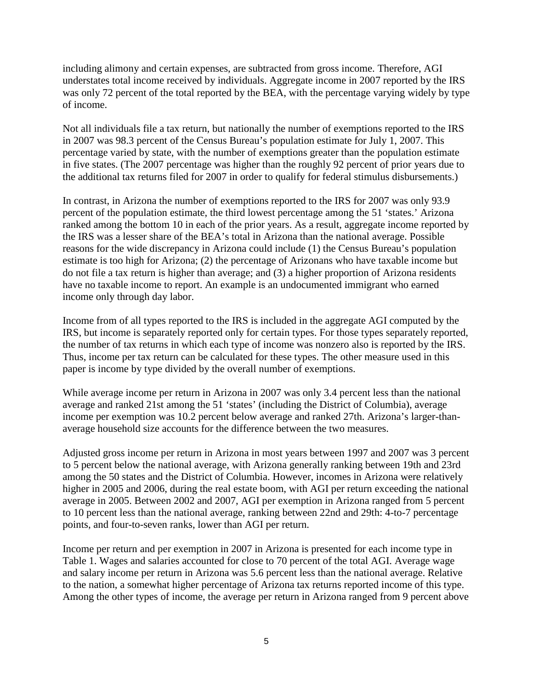including alimony and certain expenses, are subtracted from gross income. Therefore, AGI understates total income received by individuals. Aggregate income in 2007 reported by the IRS was only 72 percent of the total reported by the BEA, with the percentage varying widely by type of income.

Not all individuals file a tax return, but nationally the number of exemptions reported to the IRS in 2007 was 98.3 percent of the Census Bureau's population estimate for July 1, 2007. This percentage varied by state, with the number of exemptions greater than the population estimate in five states. (The 2007 percentage was higher than the roughly 92 percent of prior years due to the additional tax returns filed for 2007 in order to qualify for federal stimulus disbursements.)

In contrast, in Arizona the number of exemptions reported to the IRS for 2007 was only 93.9 percent of the population estimate, the third lowest percentage among the 51 'states.' Arizona ranked among the bottom 10 in each of the prior years. As a result, aggregate income reported by the IRS was a lesser share of the BEA's total in Arizona than the national average. Possible reasons for the wide discrepancy in Arizona could include (1) the Census Bureau's population estimate is too high for Arizona; (2) the percentage of Arizonans who have taxable income but do not file a tax return is higher than average; and (3) a higher proportion of Arizona residents have no taxable income to report. An example is an undocumented immigrant who earned income only through day labor.

Income from of all types reported to the IRS is included in the aggregate AGI computed by the IRS, but income is separately reported only for certain types. For those types separately reported, the number of tax returns in which each type of income was nonzero also is reported by the IRS. Thus, income per tax return can be calculated for these types. The other measure used in this paper is income by type divided by the overall number of exemptions.

While average income per return in Arizona in 2007 was only 3.4 percent less than the national average and ranked 21st among the 51 'states' (including the District of Columbia), average income per exemption was 10.2 percent below average and ranked 27th. Arizona's larger-thanaverage household size accounts for the difference between the two measures.

Adjusted gross income per return in Arizona in most years between 1997 and 2007 was 3 percent to 5 percent below the national average, with Arizona generally ranking between 19th and 23rd among the 50 states and the District of Columbia. However, incomes in Arizona were relatively higher in 2005 and 2006, during the real estate boom, with AGI per return exceeding the national average in 2005. Between 2002 and 2007, AGI per exemption in Arizona ranged from 5 percent to 10 percent less than the national average, ranking between 22nd and 29th: 4-to-7 percentage points, and four-to-seven ranks, lower than AGI per return.

Income per return and per exemption in 2007 in Arizona is presented for each income type in Table 1. Wages and salaries accounted for close to 70 percent of the total AGI. Average wage and salary income per return in Arizona was 5.6 percent less than the national average. Relative to the nation, a somewhat higher percentage of Arizona tax returns reported income of this type. Among the other types of income, the average per return in Arizona ranged from 9 percent above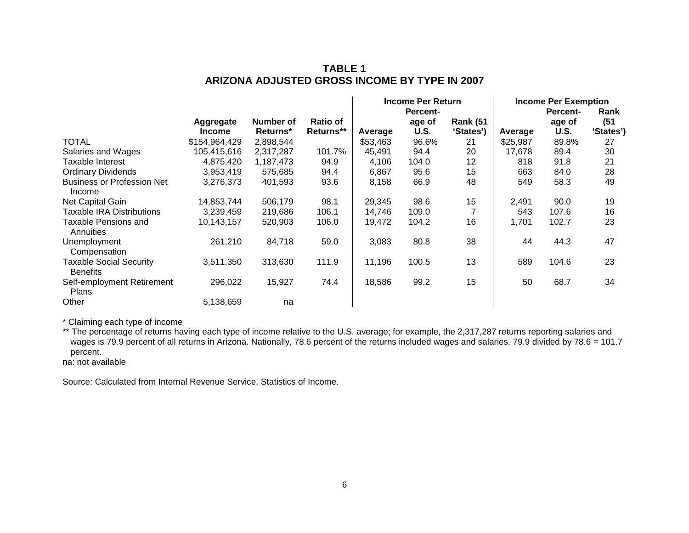## **TABLE 1 ARIZONA ADJUSTED GROSS INCOME BY TYPE IN 2007**

|                                                   |               |                 |                 |          | <b>Income Per Return</b> |                  |          | <b>Income Per Exemption</b> |           |  |
|---------------------------------------------------|---------------|-----------------|-----------------|----------|--------------------------|------------------|----------|-----------------------------|-----------|--|
|                                                   |               |                 |                 |          | Percent-                 |                  |          | <b>Percent-</b>             | Rank      |  |
|                                                   | Aggregate     | Number of       | <b>Ratio of</b> |          | age of                   | <b>Rank (51)</b> |          | age of                      | (51)      |  |
|                                                   | <b>Income</b> | <b>Returns*</b> | Returns**       | Average  | <b>U.S.</b>              | 'States')        | Average  | U.S.                        | 'States') |  |
| <b>TOTAL</b>                                      | \$154,964,429 | 2,898,544       |                 | \$53,463 | 96.6%                    | 21               | \$25,987 | 89.8%                       | 27        |  |
| Salaries and Wages                                | 105,415,616   | 2,317,287       | 101.7%          | 45,491   | 94.4                     | 20               | 17,678   | 89.4                        | 30        |  |
| Taxable Interest                                  | 4,875,420     | 1,187,473       | 94.9            | 4,106    | 104.0                    | 12               | 818      | 91.8                        | 21        |  |
| <b>Ordinary Dividends</b>                         | 3,953,419     | 575,685         | 94.4            | 6,867    | 95.6                     | 15               | 663      | 84.0                        | 28        |  |
| <b>Business or Profession Net</b><br>Income       | 3,276,373     | 401,593         | 93.6            | 8,158    | 66.9                     | 48               | 549      | 58.3                        | 49        |  |
| Net Capital Gain                                  | 14,853,744    | 506,179         | 98.1            | 29.345   | 98.6                     | 15               | 2,491    | 90.0                        | 19        |  |
| <b>Taxable IRA Distributions</b>                  | 3,239,459     | 219,686         | 106.1           | 14,746   | 109.0                    |                  | 543      | 107.6                       | 16        |  |
| <b>Taxable Pensions and</b><br>Annuities          | 10,143,157    | 520,903         | 106.0           | 19,472   | 104.2                    | 16               | 1,701    | 102.7                       | 23        |  |
| Unemployment<br>Compensation                      | 261,210       | 84,718          | 59.0            | 3,083    | 80.8                     | 38               | 44       | 44.3                        | 47        |  |
| <b>Taxable Social Security</b><br><b>Benefits</b> | 3,511,350     | 313,630         | 111.9           | 11,196   | 100.5                    | 13               | 589      | 104.6                       | 23        |  |
| Self-employment Retirement<br><b>Plans</b>        | 296,022       | 15,927          | 74.4            | 18,586   | 99.2                     | 15               | 50       | 68.7                        | 34        |  |
| Other                                             | 5,138,659     | na              |                 |          |                          |                  |          |                             |           |  |

\* Claiming each type of income

\*\* The percentage of returns having each type of income relative to the U.S. average; for example, the 2,317,287 returns reporting salaries and wages is 79.9 percent of all returns in Arizona. Nationally, 78.6 percent of the returns included wages and salaries. 79.9 divided by 78.6 = 101.7 percent.

na: not available

Source: Calculated from Internal Revenue Service, Statistics of Income.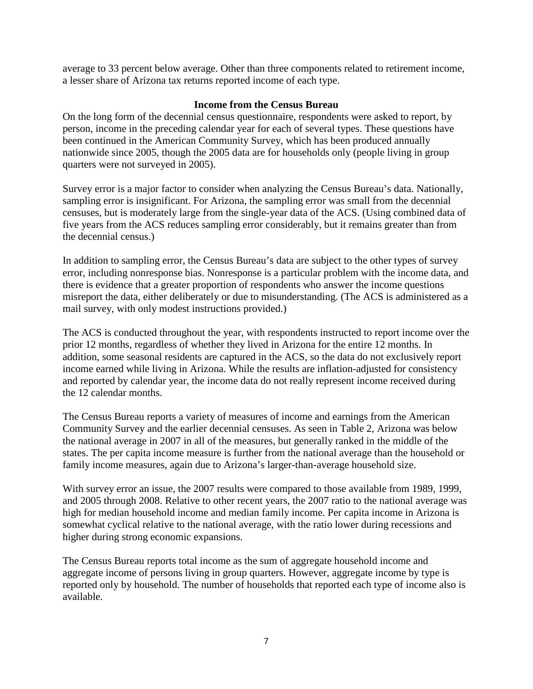average to 33 percent below average. Other than three components related to retirement income, a lesser share of Arizona tax returns reported income of each type.

## **Income from the Census Bureau**

On the long form of the decennial census questionnaire, respondents were asked to report, by person, income in the preceding calendar year for each of several types. These questions have been continued in the American Community Survey, which has been produced annually nationwide since 2005, though the 2005 data are for households only (people living in group quarters were not surveyed in 2005).

Survey error is a major factor to consider when analyzing the Census Bureau's data. Nationally, sampling error is insignificant. For Arizona, the sampling error was small from the decennial censuses, but is moderately large from the single-year data of the ACS. (Using combined data of five years from the ACS reduces sampling error considerably, but it remains greater than from the decennial census.)

In addition to sampling error, the Census Bureau's data are subject to the other types of survey error, including nonresponse bias. Nonresponse is a particular problem with the income data, and there is evidence that a greater proportion of respondents who answer the income questions misreport the data, either deliberately or due to misunderstanding. (The ACS is administered as a mail survey, with only modest instructions provided.)

The ACS is conducted throughout the year, with respondents instructed to report income over the prior 12 months, regardless of whether they lived in Arizona for the entire 12 months. In addition, some seasonal residents are captured in the ACS, so the data do not exclusively report income earned while living in Arizona. While the results are inflation-adjusted for consistency and reported by calendar year, the income data do not really represent income received during the 12 calendar months.

The Census Bureau reports a variety of measures of income and earnings from the American Community Survey and the earlier decennial censuses. As seen in Table 2, Arizona was below the national average in 2007 in all of the measures, but generally ranked in the middle of the states. The per capita income measure is further from the national average than the household or family income measures, again due to Arizona's larger-than-average household size.

With survey error an issue, the 2007 results were compared to those available from 1989, 1999, and 2005 through 2008. Relative to other recent years, the 2007 ratio to the national average was high for median household income and median family income. Per capita income in Arizona is somewhat cyclical relative to the national average, with the ratio lower during recessions and higher during strong economic expansions.

The Census Bureau reports total income as the sum of aggregate household income and aggregate income of persons living in group quarters. However, aggregate income by type is reported only by household. The number of households that reported each type of income also is available.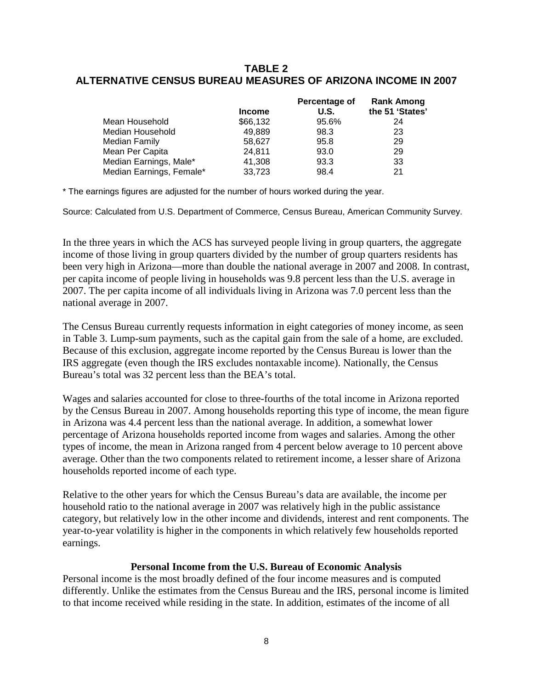## **TABLE 2 ALTERNATIVE CENSUS BUREAU MEASURES OF ARIZONA INCOME IN 2007**

|                          | <b>Income</b> | Percentage of<br>U.S. | <b>Rank Among</b><br>the 51 'States' |
|--------------------------|---------------|-----------------------|--------------------------------------|
| Mean Household           | \$66,132      | 95.6%                 | 24                                   |
| Median Household         | 49,889        | 98.3                  | 23                                   |
| <b>Median Family</b>     | 58,627        | 95.8                  | 29                                   |
| Mean Per Capita          | 24.811        | 93.0                  | 29                                   |
| Median Earnings, Male*   | 41,308        | 93.3                  | 33                                   |
| Median Earnings, Female* | 33,723        | 98.4                  | 21                                   |

\* The earnings figures are adjusted for the number of hours worked during the year.

Source: Calculated from U.S. Department of Commerce, Census Bureau, American Community Survey.

In the three years in which the ACS has surveyed people living in group quarters, the aggregate income of those living in group quarters divided by the number of group quarters residents has been very high in Arizona—more than double the national average in 2007 and 2008. In contrast, per capita income of people living in households was 9.8 percent less than the U.S. average in 2007. The per capita income of all individuals living in Arizona was 7.0 percent less than the national average in 2007.

The Census Bureau currently requests information in eight categories of money income, as seen in Table 3. Lump-sum payments, such as the capital gain from the sale of a home, are excluded. Because of this exclusion, aggregate income reported by the Census Bureau is lower than the IRS aggregate (even though the IRS excludes nontaxable income). Nationally, the Census Bureau's total was 32 percent less than the BEA's total.

Wages and salaries accounted for close to three-fourths of the total income in Arizona reported by the Census Bureau in 2007. Among households reporting this type of income, the mean figure in Arizona was 4.4 percent less than the national average. In addition, a somewhat lower percentage of Arizona households reported income from wages and salaries. Among the other types of income, the mean in Arizona ranged from 4 percent below average to 10 percent above average. Other than the two components related to retirement income, a lesser share of Arizona households reported income of each type.

Relative to the other years for which the Census Bureau's data are available, the income per household ratio to the national average in 2007 was relatively high in the public assistance category, but relatively low in the other income and dividends, interest and rent components. The year-to-year volatility is higher in the components in which relatively few households reported earnings.

## **Personal Income from the U.S. Bureau of Economic Analysis**

Personal income is the most broadly defined of the four income measures and is computed differently. Unlike the estimates from the Census Bureau and the IRS, personal income is limited to that income received while residing in the state. In addition, estimates of the income of all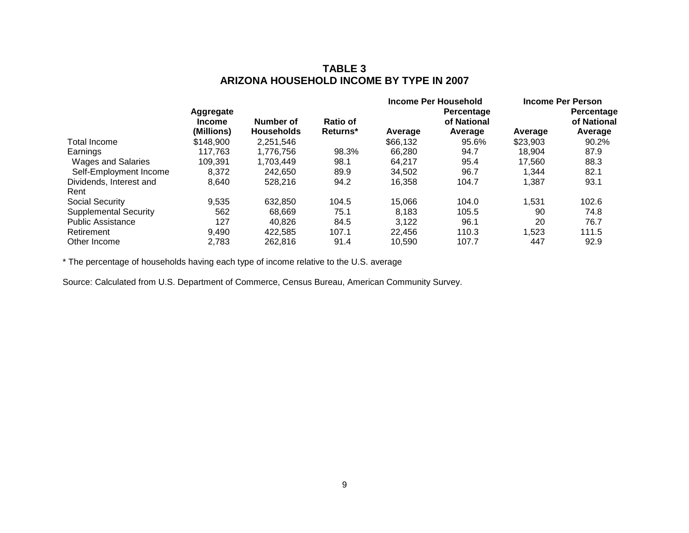# **TABLE 3 ARIZONA HOUSEHOLD INCOME BY TYPE IN 2007**

|                              |               |                   |          |          | Income Per Household |          | Income Per Person |
|------------------------------|---------------|-------------------|----------|----------|----------------------|----------|-------------------|
|                              | Aggregate     |                   |          |          | Percentage           |          | Percentage        |
|                              | <b>Income</b> | Number of         | Ratio of |          | of National          |          | of National       |
|                              | (Millions)    | <b>Households</b> | Returns* | Average  | Average              | Average  | Average           |
| Total Income                 | \$148,900     | 2,251,546         |          | \$66,132 | 95.6%                | \$23,903 | 90.2%             |
| Earnings                     | 117.763       | 1.776.756         | 98.3%    | 66,280   | 94.7                 | 18.904   | 87.9              |
| Wages and Salaries           | 109.391       | 1.703.449         | 98.1     | 64.217   | 95.4                 | 17.560   | 88.3              |
| Self-Employment Income       | 8.372         | 242.650           | 89.9     | 34.502   | 96.7                 | 1.344    | 82.1              |
| Dividends, Interest and      | 8,640         | 528,216           | 94.2     | 16,358   | 104.7                | 1,387    | 93.1              |
| Rent                         |               |                   |          |          |                      |          |                   |
| Social Security              | 9,535         | 632.850           | 104.5    | 15,066   | 104.0                | 1,531    | 102.6             |
| <b>Supplemental Security</b> | 562           | 68.669            | 75.1     | 8.183    | 105.5                | 90       | 74.8              |
| <b>Public Assistance</b>     | 127           | 40.826            | 84.5     | 3.122    | 96.1                 | 20       | 76.7              |
| Retirement                   | 9,490         | 422.585           | 107.1    | 22.456   | 110.3                | 1,523    | 111.5             |
| Other Income                 | 2.783         | 262.816           | 91.4     | 10.590   | 107.7                | 447      | 92.9              |

\* The percentage of households having each type of income relative to the U.S. average

Source: Calculated from U.S. Department of Commerce, Census Bureau, American Community Survey.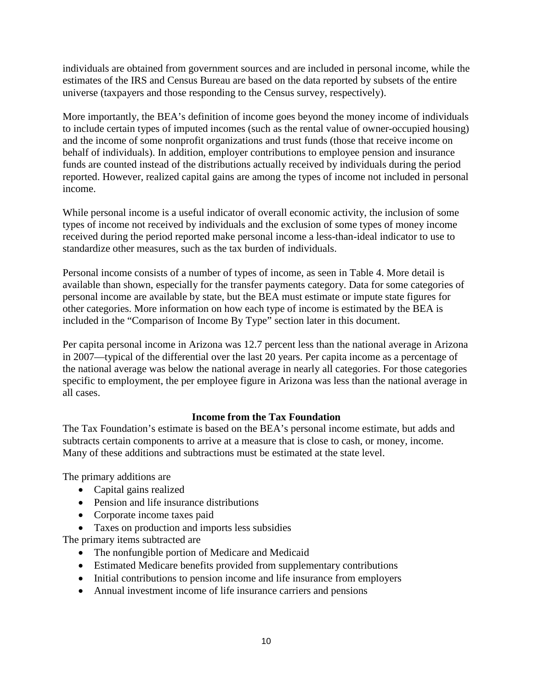individuals are obtained from government sources and are included in personal income, while the estimates of the IRS and Census Bureau are based on the data reported by subsets of the entire universe (taxpayers and those responding to the Census survey, respectively).

More importantly, the BEA's definition of income goes beyond the money income of individuals to include certain types of imputed incomes (such as the rental value of owner-occupied housing) and the income of some nonprofit organizations and trust funds (those that receive income on behalf of individuals). In addition, employer contributions to employee pension and insurance funds are counted instead of the distributions actually received by individuals during the period reported. However, realized capital gains are among the types of income not included in personal income.

While personal income is a useful indicator of overall economic activity, the inclusion of some types of income not received by individuals and the exclusion of some types of money income received during the period reported make personal income a less-than-ideal indicator to use to standardize other measures, such as the tax burden of individuals.

Personal income consists of a number of types of income, as seen in Table 4. More detail is available than shown, especially for the transfer payments category. Data for some categories of personal income are available by state, but the BEA must estimate or impute state figures for other categories. More information on how each type of income is estimated by the BEA is included in the "Comparison of Income By Type" section later in this document.

Per capita personal income in Arizona was 12.7 percent less than the national average in Arizona in 2007—typical of the differential over the last 20 years. Per capita income as a percentage of the national average was below the national average in nearly all categories. For those categories specific to employment, the per employee figure in Arizona was less than the national average in all cases.

## **Income from the Tax Foundation**

The Tax Foundation's estimate is based on the BEA's personal income estimate, but adds and subtracts certain components to arrive at a measure that is close to cash, or money, income. Many of these additions and subtractions must be estimated at the state level.

The primary additions are

- Capital gains realized
- Pension and life insurance distributions
- Corporate income taxes paid
- Taxes on production and imports less subsidies

The primary items subtracted are

- The nonfungible portion of Medicare and Medicaid
- Estimated Medicare benefits provided from supplementary contributions
- Initial contributions to pension income and life insurance from employers
- Annual investment income of life insurance carriers and pensions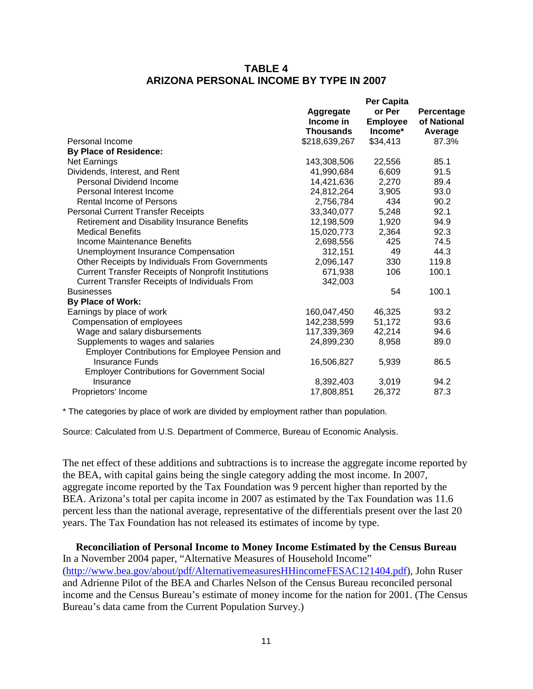## **TABLE 4 ARIZONA PERSONAL INCOME BY TYPE IN 2007**

|                                                            |                        | Per Capita                |                           |
|------------------------------------------------------------|------------------------|---------------------------|---------------------------|
|                                                            | Aggregate<br>Income in | or Per<br><b>Employee</b> | Percentage<br>of National |
|                                                            | <b>Thousands</b>       | Income*                   | Average                   |
| Personal Income                                            | \$218,639,267          | \$34,413                  | 87.3%                     |
| <b>By Place of Residence:</b>                              |                        |                           |                           |
| <b>Net Earnings</b>                                        | 143,308,506            | 22,556                    | 85.1                      |
| Dividends, Interest, and Rent                              | 41,990,684             | 6,609                     | 91.5                      |
| Personal Dividend Income                                   | 14,421,636             | 2,270                     | 89.4                      |
| Personal Interest Income                                   | 24,812,264             | 3,905                     | 93.0                      |
| <b>Rental Income of Persons</b>                            | 2,756,784              | 434                       | 90.2                      |
| <b>Personal Current Transfer Receipts</b>                  | 33,340,077             | 5,248                     | 92.1                      |
| Retirement and Disability Insurance Benefits               | 12,198,509             | 1,920                     | 94.9                      |
| <b>Medical Benefits</b>                                    | 15,020,773             | 2,364                     | 92.3                      |
| Income Maintenance Benefits                                | 2,698,556              | 425                       | 74.5                      |
| Unemployment Insurance Compensation                        | 312,151                | 49                        | 44.3                      |
| Other Receipts by Individuals From Governments             | 2,096,147              | 330                       | 119.8                     |
| <b>Current Transfer Receipts of Nonprofit Institutions</b> | 671,938                | 106                       | 100.1                     |
| <b>Current Transfer Receipts of Individuals From</b>       | 342,003                |                           |                           |
| <b>Businesses</b>                                          |                        | 54                        | 100.1                     |
| <b>By Place of Work:</b>                                   |                        |                           |                           |
| Earnings by place of work                                  | 160,047,450            | 46,325                    | 93.2                      |
| Compensation of employees                                  | 142,238,599            | 51,172                    | 93.6                      |
| Wage and salary disbursements                              | 117,339,369            | 42,214                    | 94.6                      |
| Supplements to wages and salaries                          | 24,899,230             | 8,958                     | 89.0                      |
| <b>Employer Contributions for Employee Pension and</b>     |                        |                           |                           |
| <b>Insurance Funds</b>                                     | 16,506,827             | 5,939                     | 86.5                      |
| <b>Employer Contributions for Government Social</b>        |                        |                           |                           |
| Insurance                                                  | 8,392,403              | 3,019                     | 94.2                      |
| Proprietors' Income                                        | 17,808,851             | 26,372                    | 87.3                      |
|                                                            |                        |                           |                           |

\* The categories by place of work are divided by employment rather than population.

Source: Calculated from U.S. Department of Commerce, Bureau of Economic Analysis.

The net effect of these additions and subtractions is to increase the aggregate income reported by the BEA, with capital gains being the single category adding the most income. In 2007, aggregate income reported by the Tax Foundation was 9 percent higher than reported by the BEA. Arizona's total per capita income in 2007 as estimated by the Tax Foundation was 11.6 percent less than the national average, representative of the differentials present over the last 20 years. The Tax Foundation has not released its estimates of income by type.

**Reconciliation of Personal Income to Money Income Estimated by the Census Bureau** In a November 2004 paper, "Alternative Measures of Household Income" [\(http://www.bea.gov/about/pdf/AlternativemeasuresHHincomeFESAC121404.pdf\)](http://www.bea.gov/about/pdf/AlternativemeasuresHHincomeFESAC121404.pdf), John Ruser and Adrienne Pilot of the BEA and Charles Nelson of the Census Bureau reconciled personal income and the Census Bureau's estimate of money income for the nation for 2001. (The Census Bureau's data came from the Current Population Survey.)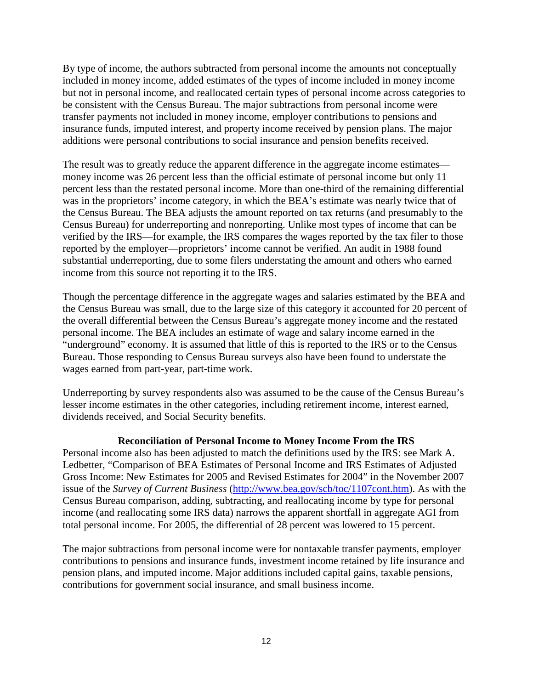By type of income, the authors subtracted from personal income the amounts not conceptually included in money income, added estimates of the types of income included in money income but not in personal income, and reallocated certain types of personal income across categories to be consistent with the Census Bureau. The major subtractions from personal income were transfer payments not included in money income, employer contributions to pensions and insurance funds, imputed interest, and property income received by pension plans. The major additions were personal contributions to social insurance and pension benefits received.

The result was to greatly reduce the apparent difference in the aggregate income estimates money income was 26 percent less than the official estimate of personal income but only 11 percent less than the restated personal income. More than one-third of the remaining differential was in the proprietors' income category, in which the BEA's estimate was nearly twice that of the Census Bureau. The BEA adjusts the amount reported on tax returns (and presumably to the Census Bureau) for underreporting and nonreporting. Unlike most types of income that can be verified by the IRS—for example, the IRS compares the wages reported by the tax filer to those reported by the employer—proprietors' income cannot be verified. An audit in 1988 found substantial underreporting, due to some filers understating the amount and others who earned income from this source not reporting it to the IRS.

Though the percentage difference in the aggregate wages and salaries estimated by the BEA and the Census Bureau was small, due to the large size of this category it accounted for 20 percent of the overall differential between the Census Bureau's aggregate money income and the restated personal income. The BEA includes an estimate of wage and salary income earned in the "underground" economy. It is assumed that little of this is reported to the IRS or to the Census Bureau. Those responding to Census Bureau surveys also have been found to understate the wages earned from part-year, part-time work.

Underreporting by survey respondents also was assumed to be the cause of the Census Bureau's lesser income estimates in the other categories, including retirement income, interest earned, dividends received, and Social Security benefits.

## **Reconciliation of Personal Income to Money Income From the IRS**

Personal income also has been adjusted to match the definitions used by the IRS: see Mark A. Ledbetter, "Comparison of BEA Estimates of Personal Income and IRS Estimates of Adjusted Gross Income: New Estimates for 2005 and Revised Estimates for 2004" in the November 2007 issue of the *Survey of Current Business* [\(http://www.bea.gov/scb/toc/1107cont.htm\)](http://www.bea.gov/scb/toc/1107cont.htm). As with the Census Bureau comparison, adding, subtracting, and reallocating income by type for personal income (and reallocating some IRS data) narrows the apparent shortfall in aggregate AGI from total personal income. For 2005, the differential of 28 percent was lowered to 15 percent.

The major subtractions from personal income were for nontaxable transfer payments, employer contributions to pensions and insurance funds, investment income retained by life insurance and pension plans, and imputed income. Major additions included capital gains, taxable pensions, contributions for government social insurance, and small business income.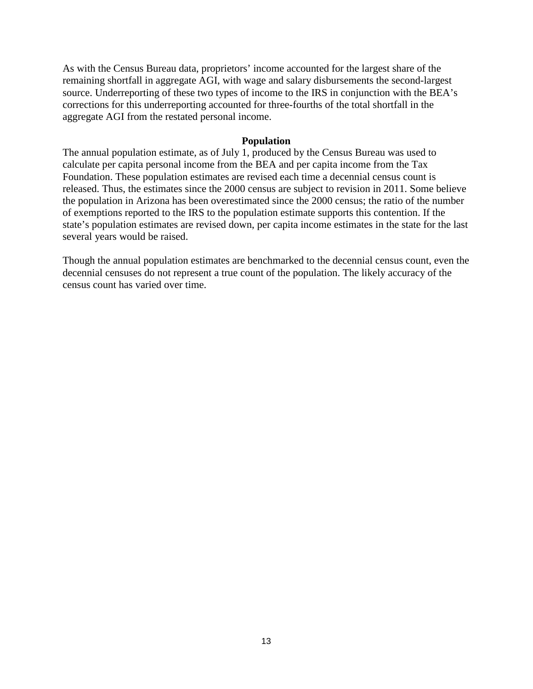As with the Census Bureau data, proprietors' income accounted for the largest share of the remaining shortfall in aggregate AGI, with wage and salary disbursements the second-largest source. Underreporting of these two types of income to the IRS in conjunction with the BEA's corrections for this underreporting accounted for three-fourths of the total shortfall in the aggregate AGI from the restated personal income.

#### **Population**

The annual population estimate, as of July 1, produced by the Census Bureau was used to calculate per capita personal income from the BEA and per capita income from the Tax Foundation. These population estimates are revised each time a decennial census count is released. Thus, the estimates since the 2000 census are subject to revision in 2011. Some believe the population in Arizona has been overestimated since the 2000 census; the ratio of the number of exemptions reported to the IRS to the population estimate supports this contention. If the state's population estimates are revised down, per capita income estimates in the state for the last several years would be raised.

Though the annual population estimates are benchmarked to the decennial census count, even the decennial censuses do not represent a true count of the population. The likely accuracy of the census count has varied over time.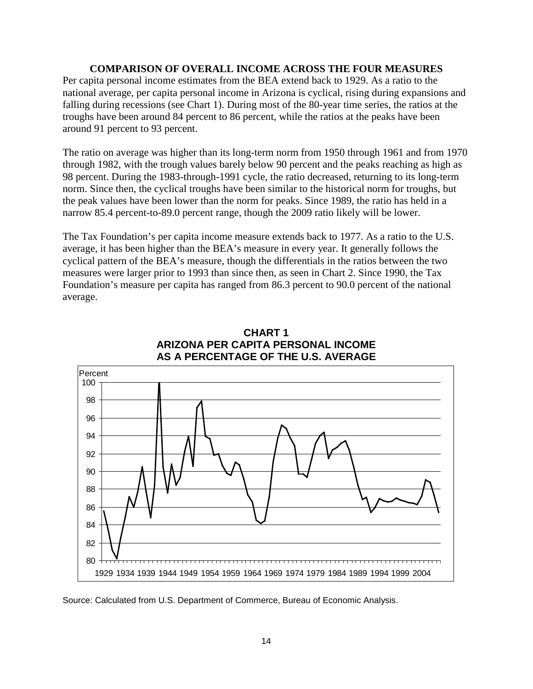#### **COMPARISON OF OVERALL INCOME ACROSS THE FOUR MEASURES**

Per capita personal income estimates from the BEA extend back to 1929. As a ratio to the national average, per capita personal income in Arizona is cyclical, rising during expansions and falling during recessions (see Chart 1). During most of the 80-year time series, the ratios at the troughs have been around 84 percent to 86 percent, while the ratios at the peaks have been around 91 percent to 93 percent.

The ratio on average was higher than its long-term norm from 1950 through 1961 and from 1970 through 1982, with the trough values barely below 90 percent and the peaks reaching as high as 98 percent. During the 1983-through-1991 cycle, the ratio decreased, returning to its long-term norm. Since then, the cyclical troughs have been similar to the historical norm for troughs, but the peak values have been lower than the norm for peaks. Since 1989, the ratio has held in a narrow 85.4 percent-to-89.0 percent range, though the 2009 ratio likely will be lower.

The Tax Foundation's per capita income measure extends back to 1977. As a ratio to the U.S. average, it has been higher than the BEA's measure in every year. It generally follows the cyclical pattern of the BEA's measure, though the differentials in the ratios between the two measures were larger prior to 1993 than since then, as seen in Chart 2. Since 1990, the Tax Foundation's measure per capita has ranged from 86.3 percent to 90.0 percent of the national average.



#### **CHART 1 ARIZONA PER CAPITA PERSONAL INCOME AS A PERCENTAGE OF THE U.S. AVERAGE**

Source: Calculated from U.S. Department of Commerce, Bureau of Economic Analysis.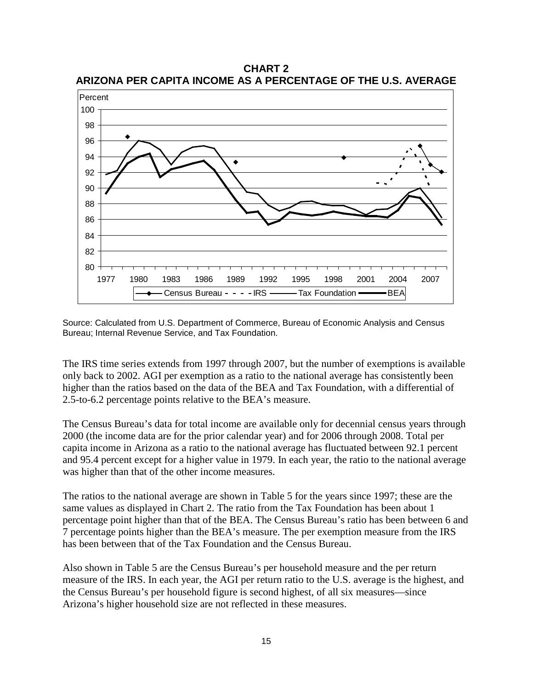80 82 84 86 88 90 92 94 96 98 100 1977 1980 1983 1986 1989 1992 1995 1998 2001 2004 2007 Percent Census Bureau - - - - IRS - Tax Foundation - BEA

**CHART 2 ARIZONA PER CAPITA INCOME AS A PERCENTAGE OF THE U.S. AVERAGE**

Source: Calculated from U.S. Department of Commerce, Bureau of Economic Analysis and Census Bureau; Internal Revenue Service, and Tax Foundation.

The IRS time series extends from 1997 through 2007, but the number of exemptions is available only back to 2002. AGI per exemption as a ratio to the national average has consistently been higher than the ratios based on the data of the BEA and Tax Foundation, with a differential of 2.5-to-6.2 percentage points relative to the BEA's measure.

The Census Bureau's data for total income are available only for decennial census years through 2000 (the income data are for the prior calendar year) and for 2006 through 2008. Total per capita income in Arizona as a ratio to the national average has fluctuated between 92.1 percent and 95.4 percent except for a higher value in 1979. In each year, the ratio to the national average was higher than that of the other income measures.

The ratios to the national average are shown in Table 5 for the years since 1997; these are the same values as displayed in Chart 2. The ratio from the Tax Foundation has been about 1 percentage point higher than that of the BEA. The Census Bureau's ratio has been between 6 and 7 percentage points higher than the BEA's measure. The per exemption measure from the IRS has been between that of the Tax Foundation and the Census Bureau.

Also shown in Table 5 are the Census Bureau's per household measure and the per return measure of the IRS. In each year, the AGI per return ratio to the U.S. average is the highest, and the Census Bureau's per household figure is second highest, of all six measures—since Arizona's higher household size are not reflected in these measures.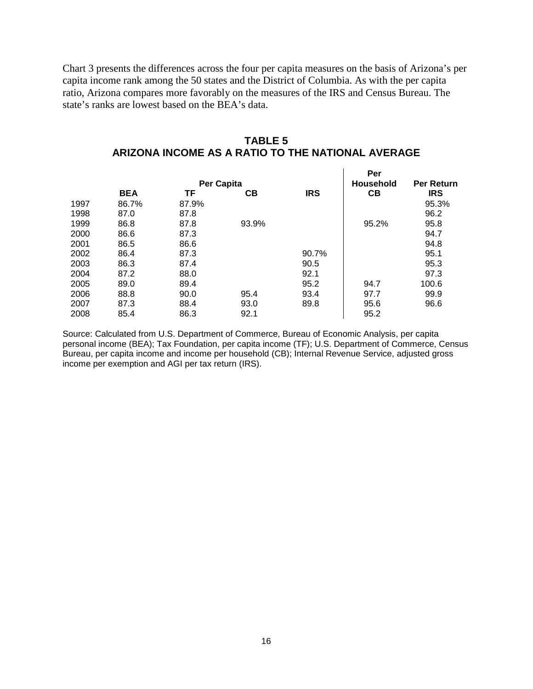Chart 3 presents the differences across the four per capita measures on the basis of Arizona's per capita income rank among the 50 states and the District of Columbia. As with the per capita ratio, Arizona compares more favorably on the measures of the IRS and Census Bureau. The state's ranks are lowest based on the BEA's data.

| <b>TABLE 5</b>                                    |
|---------------------------------------------------|
| ARIZONA INCOME AS A RATIO TO THE NATIONAL AVERAGE |

|      |            |                   |                  |                   | Per   |            |
|------|------------|-------------------|------------------|-------------------|-------|------------|
|      |            | <b>Per Capita</b> | <b>Household</b> | <b>Per Return</b> |       |            |
|      | <b>BEA</b> | ΤF                | CВ               | <b>IRS</b>        | CB    | <b>IRS</b> |
| 1997 | 86.7%      | 87.9%             |                  |                   |       | 95.3%      |
| 1998 | 87.0       | 87.8              |                  |                   |       | 96.2       |
| 1999 | 86.8       | 87.8              | 93.9%            |                   | 95.2% | 95.8       |
| 2000 | 86.6       | 87.3              |                  |                   |       | 94.7       |
| 2001 | 86.5       | 86.6              |                  |                   |       | 94.8       |
| 2002 | 86.4       | 87.3              |                  | 90.7%             |       | 95.1       |
| 2003 | 86.3       | 87.4              |                  | 90.5              |       | 95.3       |
| 2004 | 87.2       | 88.0              |                  | 92.1              |       | 97.3       |
| 2005 | 89.0       | 89.4              |                  | 95.2              | 94.7  | 100.6      |
| 2006 | 88.8       | 90.0              | 95.4             | 93.4              | 97.7  | 99.9       |
| 2007 | 87.3       | 88.4              | 93.0             | 89.8              | 95.6  | 96.6       |
| 2008 | 85.4       | 86.3              | 92.1             |                   | 95.2  |            |

Source: Calculated from U.S. Department of Commerce, Bureau of Economic Analysis, per capita personal income (BEA); Tax Foundation, per capita income (TF); U.S. Department of Commerce, Census Bureau, per capita income and income per household (CB); Internal Revenue Service, adjusted gross income per exemption and AGI per tax return (IRS).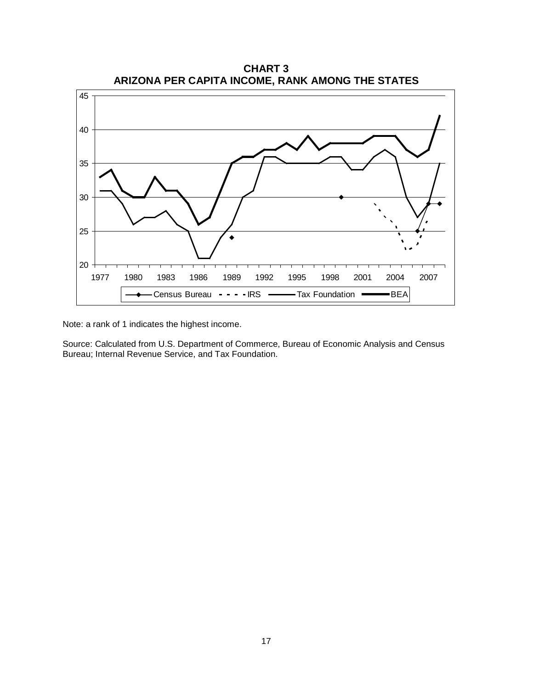

Note: a rank of 1 indicates the highest income.

Source: Calculated from U.S. Department of Commerce, Bureau of Economic Analysis and Census Bureau; Internal Revenue Service, and Tax Foundation.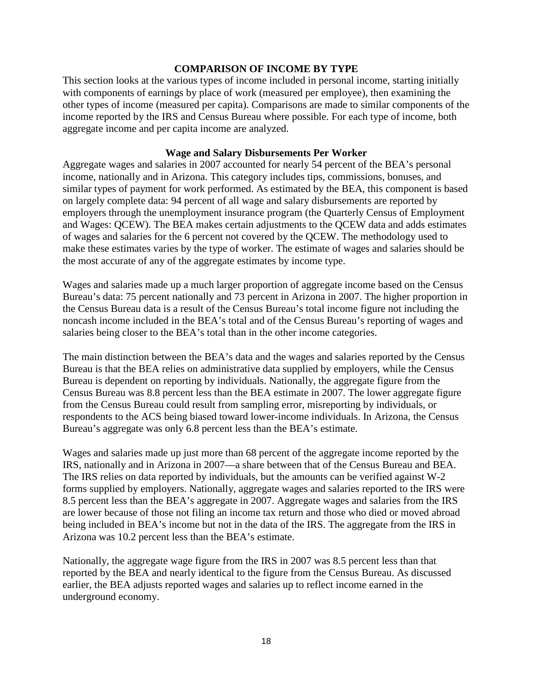#### **COMPARISON OF INCOME BY TYPE**

This section looks at the various types of income included in personal income, starting initially with components of earnings by place of work (measured per employee), then examining the other types of income (measured per capita). Comparisons are made to similar components of the income reported by the IRS and Census Bureau where possible. For each type of income, both aggregate income and per capita income are analyzed.

#### **Wage and Salary Disbursements Per Worker**

Aggregate wages and salaries in 2007 accounted for nearly 54 percent of the BEA's personal income, nationally and in Arizona. This category includes tips, commissions, bonuses, and similar types of payment for work performed. As estimated by the BEA, this component is based on largely complete data: 94 percent of all wage and salary disbursements are reported by employers through the unemployment insurance program (the Quarterly Census of Employment and Wages: QCEW). The BEA makes certain adjustments to the QCEW data and adds estimates of wages and salaries for the 6 percent not covered by the QCEW. The methodology used to make these estimates varies by the type of worker. The estimate of wages and salaries should be the most accurate of any of the aggregate estimates by income type.

Wages and salaries made up a much larger proportion of aggregate income based on the Census Bureau's data: 75 percent nationally and 73 percent in Arizona in 2007. The higher proportion in the Census Bureau data is a result of the Census Bureau's total income figure not including the noncash income included in the BEA's total and of the Census Bureau's reporting of wages and salaries being closer to the BEA's total than in the other income categories.

The main distinction between the BEA's data and the wages and salaries reported by the Census Bureau is that the BEA relies on administrative data supplied by employers, while the Census Bureau is dependent on reporting by individuals. Nationally, the aggregate figure from the Census Bureau was 8.8 percent less than the BEA estimate in 2007. The lower aggregate figure from the Census Bureau could result from sampling error, misreporting by individuals, or respondents to the ACS being biased toward lower-income individuals. In Arizona, the Census Bureau's aggregate was only 6.8 percent less than the BEA's estimate.

Wages and salaries made up just more than 68 percent of the aggregate income reported by the IRS, nationally and in Arizona in 2007—a share between that of the Census Bureau and BEA. The IRS relies on data reported by individuals, but the amounts can be verified against W-2 forms supplied by employers. Nationally, aggregate wages and salaries reported to the IRS were 8.5 percent less than the BEA's aggregate in 2007. Aggregate wages and salaries from the IRS are lower because of those not filing an income tax return and those who died or moved abroad being included in BEA's income but not in the data of the IRS. The aggregate from the IRS in Arizona was 10.2 percent less than the BEA's estimate.

Nationally, the aggregate wage figure from the IRS in 2007 was 8.5 percent less than that reported by the BEA and nearly identical to the figure from the Census Bureau. As discussed earlier, the BEA adjusts reported wages and salaries up to reflect income earned in the underground economy.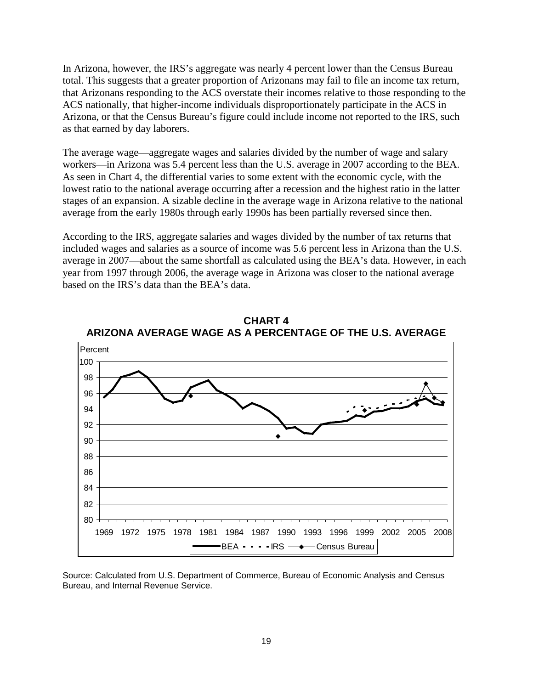In Arizona, however, the IRS's aggregate was nearly 4 percent lower than the Census Bureau total. This suggests that a greater proportion of Arizonans may fail to file an income tax return, that Arizonans responding to the ACS overstate their incomes relative to those responding to the ACS nationally, that higher-income individuals disproportionately participate in the ACS in Arizona, or that the Census Bureau's figure could include income not reported to the IRS, such as that earned by day laborers.

The average wage—aggregate wages and salaries divided by the number of wage and salary workers—in Arizona was 5.4 percent less than the U.S. average in 2007 according to the BEA. As seen in Chart 4, the differential varies to some extent with the economic cycle, with the lowest ratio to the national average occurring after a recession and the highest ratio in the latter stages of an expansion. A sizable decline in the average wage in Arizona relative to the national average from the early 1980s through early 1990s has been partially reversed since then.

According to the IRS, aggregate salaries and wages divided by the number of tax returns that included wages and salaries as a source of income was 5.6 percent less in Arizona than the U.S. average in 2007—about the same shortfall as calculated using the BEA's data. However, in each year from 1997 through 2006, the average wage in Arizona was closer to the national average based on the IRS's data than the BEA's data.



**CHART 4 ARIZONA AVERAGE WAGE AS A PERCENTAGE OF THE U.S. AVERAGE**

Source: Calculated from U.S. Department of Commerce, Bureau of Economic Analysis and Census Bureau, and Internal Revenue Service.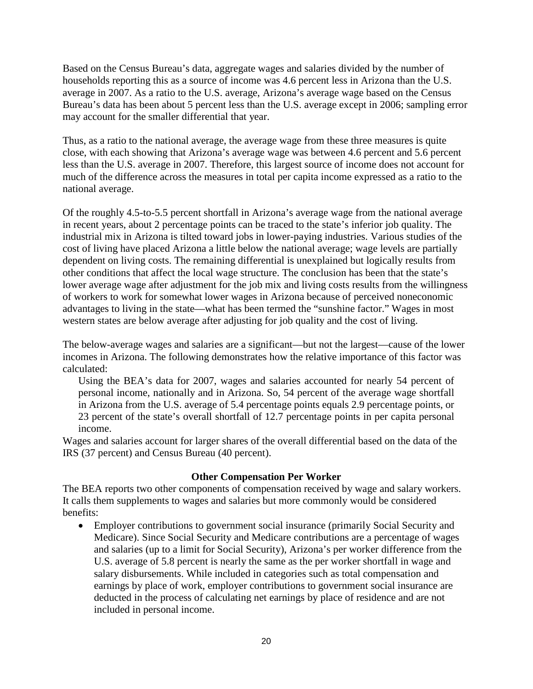Based on the Census Bureau's data, aggregate wages and salaries divided by the number of households reporting this as a source of income was 4.6 percent less in Arizona than the U.S. average in 2007. As a ratio to the U.S. average, Arizona's average wage based on the Census Bureau's data has been about 5 percent less than the U.S. average except in 2006; sampling error may account for the smaller differential that year.

Thus, as a ratio to the national average, the average wage from these three measures is quite close, with each showing that Arizona's average wage was between 4.6 percent and 5.6 percent less than the U.S. average in 2007. Therefore, this largest source of income does not account for much of the difference across the measures in total per capita income expressed as a ratio to the national average.

Of the roughly 4.5-to-5.5 percent shortfall in Arizona's average wage from the national average in recent years, about 2 percentage points can be traced to the state's inferior job quality. The industrial mix in Arizona is tilted toward jobs in lower-paying industries. Various studies of the cost of living have placed Arizona a little below the national average; wage levels are partially dependent on living costs. The remaining differential is unexplained but logically results from other conditions that affect the local wage structure. The conclusion has been that the state's lower average wage after adjustment for the job mix and living costs results from the willingness of workers to work for somewhat lower wages in Arizona because of perceived noneconomic advantages to living in the state—what has been termed the "sunshine factor." Wages in most western states are below average after adjusting for job quality and the cost of living.

The below-average wages and salaries are a significant—but not the largest—cause of the lower incomes in Arizona. The following demonstrates how the relative importance of this factor was calculated:

Using the BEA's data for 2007, wages and salaries accounted for nearly 54 percent of personal income, nationally and in Arizona. So, 54 percent of the average wage shortfall in Arizona from the U.S. average of 5.4 percentage points equals 2.9 percentage points, or 23 percent of the state's overall shortfall of 12.7 percentage points in per capita personal income.

Wages and salaries account for larger shares of the overall differential based on the data of the IRS (37 percent) and Census Bureau (40 percent).

## **Other Compensation Per Worker**

The BEA reports two other components of compensation received by wage and salary workers. It calls them supplements to wages and salaries but more commonly would be considered benefits:

• Employer contributions to government social insurance (primarily Social Security and Medicare). Since Social Security and Medicare contributions are a percentage of wages and salaries (up to a limit for Social Security), Arizona's per worker difference from the U.S. average of 5.8 percent is nearly the same as the per worker shortfall in wage and salary disbursements. While included in categories such as total compensation and earnings by place of work, employer contributions to government social insurance are deducted in the process of calculating net earnings by place of residence and are not included in personal income.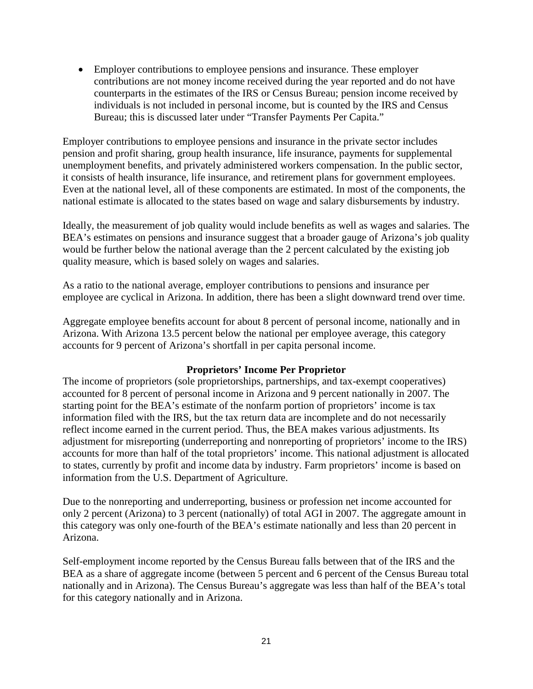• Employer contributions to employee pensions and insurance. These employer contributions are not money income received during the year reported and do not have counterparts in the estimates of the IRS or Census Bureau; pension income received by individuals is not included in personal income, but is counted by the IRS and Census Bureau; this is discussed later under "Transfer Payments Per Capita."

Employer contributions to employee pensions and insurance in the private sector includes pension and profit sharing, group health insurance, life insurance, payments for supplemental unemployment benefits, and privately administered workers compensation. In the public sector, it consists of health insurance, life insurance, and retirement plans for government employees. Even at the national level, all of these components are estimated. In most of the components, the national estimate is allocated to the states based on wage and salary disbursements by industry.

Ideally, the measurement of job quality would include benefits as well as wages and salaries. The BEA's estimates on pensions and insurance suggest that a broader gauge of Arizona's job quality would be further below the national average than the 2 percent calculated by the existing job quality measure, which is based solely on wages and salaries.

As a ratio to the national average, employer contributions to pensions and insurance per employee are cyclical in Arizona. In addition, there has been a slight downward trend over time.

Aggregate employee benefits account for about 8 percent of personal income, nationally and in Arizona. With Arizona 13.5 percent below the national per employee average, this category accounts for 9 percent of Arizona's shortfall in per capita personal income.

## **Proprietors' Income Per Proprietor**

The income of proprietors (sole proprietorships, partnerships, and tax-exempt cooperatives) accounted for 8 percent of personal income in Arizona and 9 percent nationally in 2007. The starting point for the BEA's estimate of the nonfarm portion of proprietors' income is tax information filed with the IRS, but the tax return data are incomplete and do not necessarily reflect income earned in the current period. Thus, the BEA makes various adjustments. Its adjustment for misreporting (underreporting and nonreporting of proprietors' income to the IRS) accounts for more than half of the total proprietors' income. This national adjustment is allocated to states, currently by profit and income data by industry. Farm proprietors' income is based on information from the U.S. Department of Agriculture.

Due to the nonreporting and underreporting, business or profession net income accounted for only 2 percent (Arizona) to 3 percent (nationally) of total AGI in 2007. The aggregate amount in this category was only one-fourth of the BEA's estimate nationally and less than 20 percent in Arizona.

Self-employment income reported by the Census Bureau falls between that of the IRS and the BEA as a share of aggregate income (between 5 percent and 6 percent of the Census Bureau total nationally and in Arizona). The Census Bureau's aggregate was less than half of the BEA's total for this category nationally and in Arizona.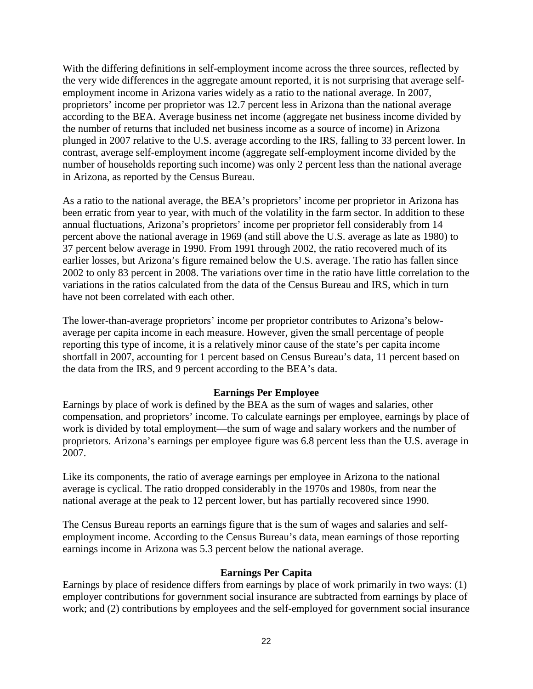With the differing definitions in self-employment income across the three sources, reflected by the very wide differences in the aggregate amount reported, it is not surprising that average selfemployment income in Arizona varies widely as a ratio to the national average. In 2007, proprietors' income per proprietor was 12.7 percent less in Arizona than the national average according to the BEA. Average business net income (aggregate net business income divided by the number of returns that included net business income as a source of income) in Arizona plunged in 2007 relative to the U.S. average according to the IRS, falling to 33 percent lower. In contrast, average self-employment income (aggregate self-employment income divided by the number of households reporting such income) was only 2 percent less than the national average in Arizona, as reported by the Census Bureau.

As a ratio to the national average, the BEA's proprietors' income per proprietor in Arizona has been erratic from year to year, with much of the volatility in the farm sector. In addition to these annual fluctuations, Arizona's proprietors' income per proprietor fell considerably from 14 percent above the national average in 1969 (and still above the U.S. average as late as 1980) to 37 percent below average in 1990. From 1991 through 2002, the ratio recovered much of its earlier losses, but Arizona's figure remained below the U.S. average. The ratio has fallen since 2002 to only 83 percent in 2008. The variations over time in the ratio have little correlation to the variations in the ratios calculated from the data of the Census Bureau and IRS, which in turn have not been correlated with each other.

The lower-than-average proprietors' income per proprietor contributes to Arizona's belowaverage per capita income in each measure. However, given the small percentage of people reporting this type of income, it is a relatively minor cause of the state's per capita income shortfall in 2007, accounting for 1 percent based on Census Bureau's data, 11 percent based on the data from the IRS, and 9 percent according to the BEA's data.

## **Earnings Per Employee**

Earnings by place of work is defined by the BEA as the sum of wages and salaries, other compensation, and proprietors' income. To calculate earnings per employee, earnings by place of work is divided by total employment—the sum of wage and salary workers and the number of proprietors. Arizona's earnings per employee figure was 6.8 percent less than the U.S. average in 2007.

Like its components, the ratio of average earnings per employee in Arizona to the national average is cyclical. The ratio dropped considerably in the 1970s and 1980s, from near the national average at the peak to 12 percent lower, but has partially recovered since 1990.

The Census Bureau reports an earnings figure that is the sum of wages and salaries and selfemployment income. According to the Census Bureau's data, mean earnings of those reporting earnings income in Arizona was 5.3 percent below the national average.

## **Earnings Per Capita**

Earnings by place of residence differs from earnings by place of work primarily in two ways: (1) employer contributions for government social insurance are subtracted from earnings by place of work; and (2) contributions by employees and the self-employed for government social insurance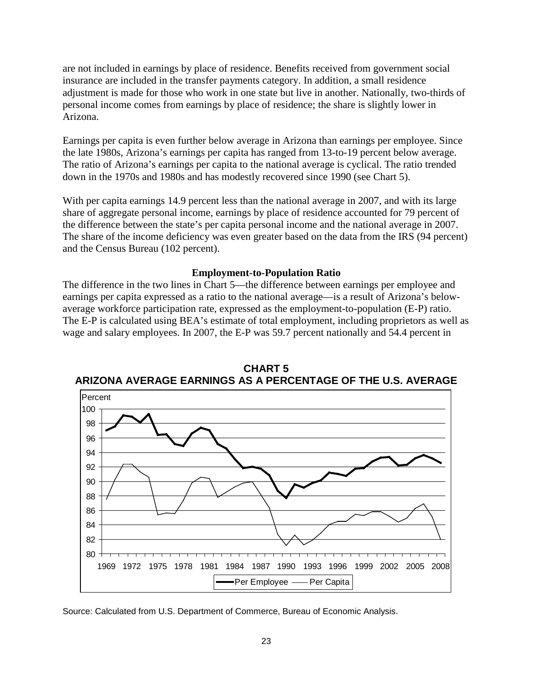are not included in earnings by place of residence. Benefits received from government social insurance are included in the transfer payments category. In addition, a small residence adjustment is made for those who work in one state but live in another. Nationally, two-thirds of personal income comes from earnings by place of residence; the share is slightly lower in Arizona.

Earnings per capita is even further below average in Arizona than earnings per employee. Since the late 1980s, Arizona's earnings per capita has ranged from 13-to-19 percent below average. The ratio of Arizona's earnings per capita to the national average is cyclical. The ratio trended down in the 1970s and 1980s and has modestly recovered since 1990 (see Chart 5).

With per capita earnings 14.9 percent less than the national average in 2007, and with its large share of aggregate personal income, earnings by place of residence accounted for 79 percent of the difference between the state's per capita personal income and the national average in 2007. The share of the income deficiency was even greater based on the data from the IRS (94 percent) and the Census Bureau (102 percent).

## **Employment-to-Population Ratio**

The difference in the two lines in Chart 5—the difference between earnings per employee and earnings per capita expressed as a ratio to the national average—is a result of Arizona's belowaverage workforce participation rate, expressed as the employment-to-population (E-P) ratio. The E-P is calculated using BEA's estimate of total employment, including proprietors as well as wage and salary employees. In 2007, the E-P was 59.7 percent nationally and 54.4 percent in



**CHART 5 ARIZONA AVERAGE EARNINGS AS A PERCENTAGE OF THE U.S. AVERAGE**

Source: Calculated from U.S. Department of Commerce, Bureau of Economic Analysis.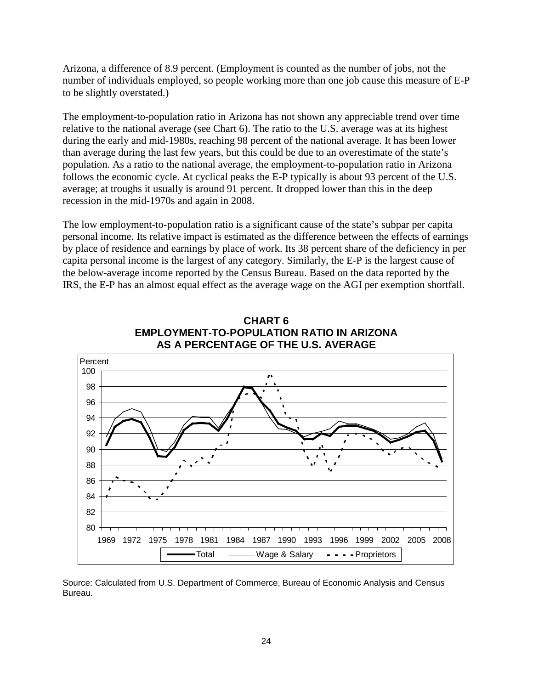Arizona, a difference of 8.9 percent. (Employment is counted as the number of jobs, not the number of individuals employed, so people working more than one job cause this measure of E-P to be slightly overstated.)

The employment-to-population ratio in Arizona has not shown any appreciable trend over time relative to the national average (see Chart 6). The ratio to the U.S. average was at its highest during the early and mid-1980s, reaching 98 percent of the national average. It has been lower than average during the last few years, but this could be due to an overestimate of the state's population. As a ratio to the national average, the employment-to-population ratio in Arizona follows the economic cycle. At cyclical peaks the E-P typically is about 93 percent of the U.S. average; at troughs it usually is around 91 percent. It dropped lower than this in the deep recession in the mid-1970s and again in 2008.

The low employment-to-population ratio is a significant cause of the state's subpar per capita personal income. Its relative impact is estimated as the difference between the effects of earnings by place of residence and earnings by place of work. Its 38 percent share of the deficiency in per capita personal income is the largest of any category. Similarly, the E-P is the largest cause of the below-average income reported by the Census Bureau. Based on the data reported by the IRS, the E-P has an almost equal effect as the average wage on the AGI per exemption shortfall.



**CHART 6 EMPLOYMENT-TO-POPULATION RATIO IN ARIZONA AS A PERCENTAGE OF THE U.S. AVERAGE**

Source: Calculated from U.S. Department of Commerce, Bureau of Economic Analysis and Census Bureau.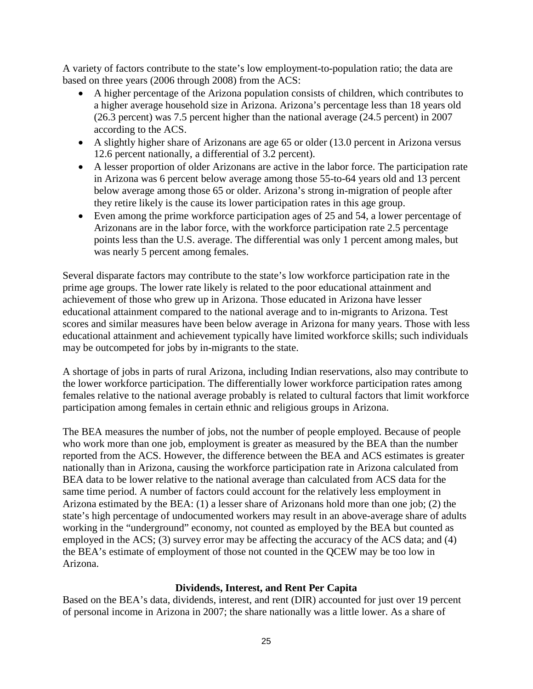A variety of factors contribute to the state's low employment-to-population ratio; the data are based on three years (2006 through 2008) from the ACS:

- A higher percentage of the Arizona population consists of children, which contributes to a higher average household size in Arizona. Arizona's percentage less than 18 years old (26.3 percent) was 7.5 percent higher than the national average (24.5 percent) in 2007 according to the ACS.
- A slightly higher share of Arizonans are age 65 or older (13.0 percent in Arizona versus 12.6 percent nationally, a differential of 3.2 percent).
- A lesser proportion of older Arizonans are active in the labor force. The participation rate in Arizona was 6 percent below average among those 55-to-64 years old and 13 percent below average among those 65 or older. Arizona's strong in-migration of people after they retire likely is the cause its lower participation rates in this age group.
- Even among the prime workforce participation ages of 25 and 54, a lower percentage of Arizonans are in the labor force, with the workforce participation rate 2.5 percentage points less than the U.S. average. The differential was only 1 percent among males, but was nearly 5 percent among females.

Several disparate factors may contribute to the state's low workforce participation rate in the prime age groups. The lower rate likely is related to the poor educational attainment and achievement of those who grew up in Arizona. Those educated in Arizona have lesser educational attainment compared to the national average and to in-migrants to Arizona. Test scores and similar measures have been below average in Arizona for many years. Those with less educational attainment and achievement typically have limited workforce skills; such individuals may be outcompeted for jobs by in-migrants to the state.

A shortage of jobs in parts of rural Arizona, including Indian reservations, also may contribute to the lower workforce participation. The differentially lower workforce participation rates among females relative to the national average probably is related to cultural factors that limit workforce participation among females in certain ethnic and religious groups in Arizona.

The BEA measures the number of jobs, not the number of people employed. Because of people who work more than one job, employment is greater as measured by the BEA than the number reported from the ACS. However, the difference between the BEA and ACS estimates is greater nationally than in Arizona, causing the workforce participation rate in Arizona calculated from BEA data to be lower relative to the national average than calculated from ACS data for the same time period. A number of factors could account for the relatively less employment in Arizona estimated by the BEA: (1) a lesser share of Arizonans hold more than one job; (2) the state's high percentage of undocumented workers may result in an above-average share of adults working in the "underground" economy, not counted as employed by the BEA but counted as employed in the ACS; (3) survey error may be affecting the accuracy of the ACS data; and (4) the BEA's estimate of employment of those not counted in the QCEW may be too low in Arizona.

## **Dividends, Interest, and Rent Per Capita**

Based on the BEA's data, dividends, interest, and rent (DIR) accounted for just over 19 percent of personal income in Arizona in 2007; the share nationally was a little lower. As a share of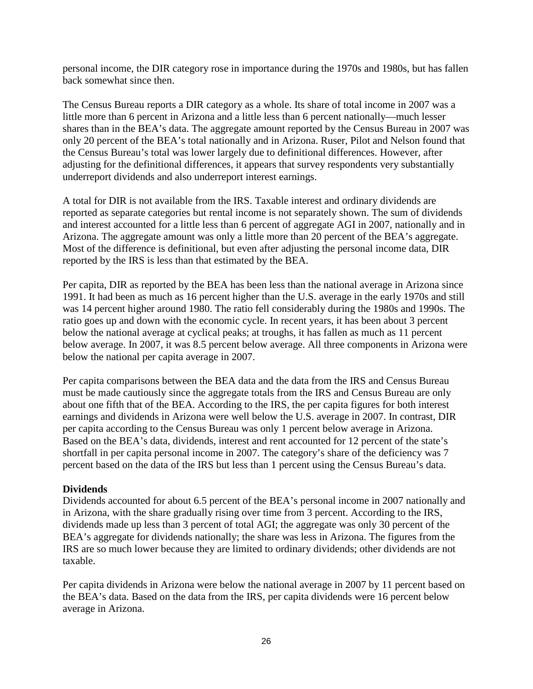personal income, the DIR category rose in importance during the 1970s and 1980s, but has fallen back somewhat since then.

The Census Bureau reports a DIR category as a whole. Its share of total income in 2007 was a little more than 6 percent in Arizona and a little less than 6 percent nationally—much lesser shares than in the BEA's data. The aggregate amount reported by the Census Bureau in 2007 was only 20 percent of the BEA's total nationally and in Arizona. Ruser, Pilot and Nelson found that the Census Bureau's total was lower largely due to definitional differences. However, after adjusting for the definitional differences, it appears that survey respondents very substantially underreport dividends and also underreport interest earnings.

A total for DIR is not available from the IRS. Taxable interest and ordinary dividends are reported as separate categories but rental income is not separately shown. The sum of dividends and interest accounted for a little less than 6 percent of aggregate AGI in 2007, nationally and in Arizona. The aggregate amount was only a little more than 20 percent of the BEA's aggregate. Most of the difference is definitional, but even after adjusting the personal income data, DIR reported by the IRS is less than that estimated by the BEA.

Per capita, DIR as reported by the BEA has been less than the national average in Arizona since 1991. It had been as much as 16 percent higher than the U.S. average in the early 1970s and still was 14 percent higher around 1980. The ratio fell considerably during the 1980s and 1990s. The ratio goes up and down with the economic cycle. In recent years, it has been about 3 percent below the national average at cyclical peaks; at troughs, it has fallen as much as 11 percent below average. In 2007, it was 8.5 percent below average. All three components in Arizona were below the national per capita average in 2007.

Per capita comparisons between the BEA data and the data from the IRS and Census Bureau must be made cautiously since the aggregate totals from the IRS and Census Bureau are only about one fifth that of the BEA. According to the IRS, the per capita figures for both interest earnings and dividends in Arizona were well below the U.S. average in 2007. In contrast, DIR per capita according to the Census Bureau was only 1 percent below average in Arizona. Based on the BEA's data, dividends, interest and rent accounted for 12 percent of the state's shortfall in per capita personal income in 2007. The category's share of the deficiency was 7 percent based on the data of the IRS but less than 1 percent using the Census Bureau's data.

## **Dividends**

Dividends accounted for about 6.5 percent of the BEA's personal income in 2007 nationally and in Arizona, with the share gradually rising over time from 3 percent. According to the IRS, dividends made up less than 3 percent of total AGI; the aggregate was only 30 percent of the BEA's aggregate for dividends nationally; the share was less in Arizona. The figures from the IRS are so much lower because they are limited to ordinary dividends; other dividends are not taxable.

Per capita dividends in Arizona were below the national average in 2007 by 11 percent based on the BEA's data. Based on the data from the IRS, per capita dividends were 16 percent below average in Arizona.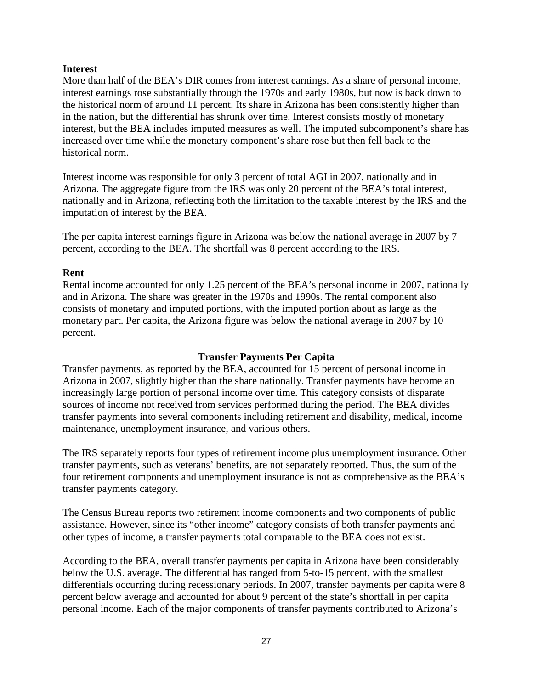## **Interest**

More than half of the BEA's DIR comes from interest earnings. As a share of personal income, interest earnings rose substantially through the 1970s and early 1980s, but now is back down to the historical norm of around 11 percent. Its share in Arizona has been consistently higher than in the nation, but the differential has shrunk over time. Interest consists mostly of monetary interest, but the BEA includes imputed measures as well. The imputed subcomponent's share has increased over time while the monetary component's share rose but then fell back to the historical norm.

Interest income was responsible for only 3 percent of total AGI in 2007, nationally and in Arizona. The aggregate figure from the IRS was only 20 percent of the BEA's total interest, nationally and in Arizona, reflecting both the limitation to the taxable interest by the IRS and the imputation of interest by the BEA.

The per capita interest earnings figure in Arizona was below the national average in 2007 by 7 percent, according to the BEA. The shortfall was 8 percent according to the IRS.

## **Rent**

Rental income accounted for only 1.25 percent of the BEA's personal income in 2007, nationally and in Arizona. The share was greater in the 1970s and 1990s. The rental component also consists of monetary and imputed portions, with the imputed portion about as large as the monetary part. Per capita, the Arizona figure was below the national average in 2007 by 10 percent.

## **Transfer Payments Per Capita**

Transfer payments, as reported by the BEA, accounted for 15 percent of personal income in Arizona in 2007, slightly higher than the share nationally. Transfer payments have become an increasingly large portion of personal income over time. This category consists of disparate sources of income not received from services performed during the period. The BEA divides transfer payments into several components including retirement and disability, medical, income maintenance, unemployment insurance, and various others.

The IRS separately reports four types of retirement income plus unemployment insurance. Other transfer payments, such as veterans' benefits, are not separately reported. Thus, the sum of the four retirement components and unemployment insurance is not as comprehensive as the BEA's transfer payments category.

The Census Bureau reports two retirement income components and two components of public assistance. However, since its "other income" category consists of both transfer payments and other types of income, a transfer payments total comparable to the BEA does not exist.

According to the BEA, overall transfer payments per capita in Arizona have been considerably below the U.S. average. The differential has ranged from 5-to-15 percent, with the smallest differentials occurring during recessionary periods. In 2007, transfer payments per capita were 8 percent below average and accounted for about 9 percent of the state's shortfall in per capita personal income. Each of the major components of transfer payments contributed to Arizona's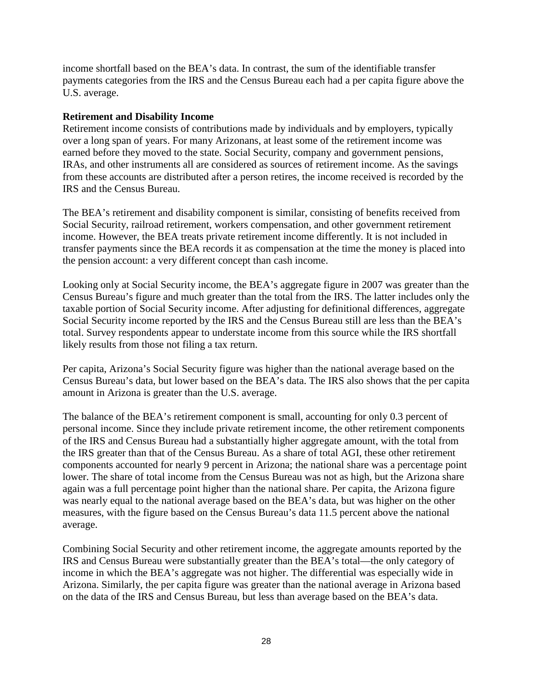income shortfall based on the BEA's data. In contrast, the sum of the identifiable transfer payments categories from the IRS and the Census Bureau each had a per capita figure above the U.S. average.

## **Retirement and Disability Income**

Retirement income consists of contributions made by individuals and by employers, typically over a long span of years. For many Arizonans, at least some of the retirement income was earned before they moved to the state. Social Security, company and government pensions, IRAs, and other instruments all are considered as sources of retirement income. As the savings from these accounts are distributed after a person retires, the income received is recorded by the IRS and the Census Bureau.

The BEA's retirement and disability component is similar, consisting of benefits received from Social Security, railroad retirement, workers compensation, and other government retirement income. However, the BEA treats private retirement income differently. It is not included in transfer payments since the BEA records it as compensation at the time the money is placed into the pension account: a very different concept than cash income.

Looking only at Social Security income, the BEA's aggregate figure in 2007 was greater than the Census Bureau's figure and much greater than the total from the IRS. The latter includes only the taxable portion of Social Security income. After adjusting for definitional differences, aggregate Social Security income reported by the IRS and the Census Bureau still are less than the BEA's total. Survey respondents appear to understate income from this source while the IRS shortfall likely results from those not filing a tax return.

Per capita, Arizona's Social Security figure was higher than the national average based on the Census Bureau's data, but lower based on the BEA's data. The IRS also shows that the per capita amount in Arizona is greater than the U.S. average.

The balance of the BEA's retirement component is small, accounting for only 0.3 percent of personal income. Since they include private retirement income, the other retirement components of the IRS and Census Bureau had a substantially higher aggregate amount, with the total from the IRS greater than that of the Census Bureau. As a share of total AGI, these other retirement components accounted for nearly 9 percent in Arizona; the national share was a percentage point lower. The share of total income from the Census Bureau was not as high, but the Arizona share again was a full percentage point higher than the national share. Per capita, the Arizona figure was nearly equal to the national average based on the BEA's data, but was higher on the other measures, with the figure based on the Census Bureau's data 11.5 percent above the national average.

Combining Social Security and other retirement income, the aggregate amounts reported by the IRS and Census Bureau were substantially greater than the BEA's total—the only category of income in which the BEA's aggregate was not higher. The differential was especially wide in Arizona. Similarly, the per capita figure was greater than the national average in Arizona based on the data of the IRS and Census Bureau, but less than average based on the BEA's data.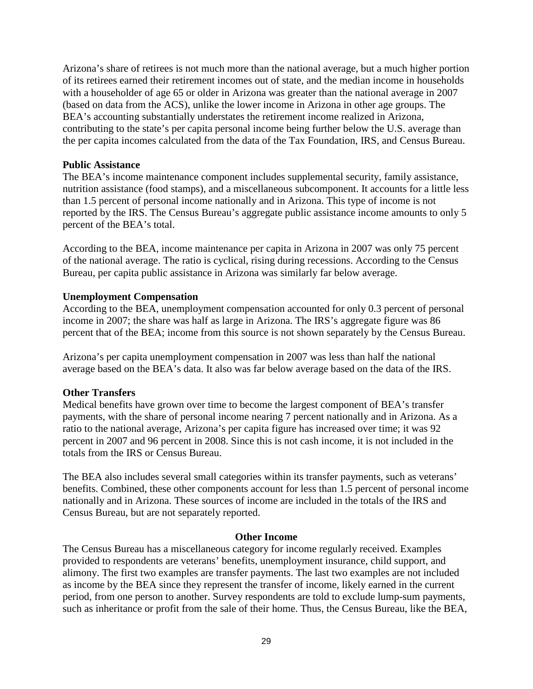Arizona's share of retirees is not much more than the national average, but a much higher portion of its retirees earned their retirement incomes out of state, and the median income in households with a householder of age 65 or older in Arizona was greater than the national average in 2007 (based on data from the ACS), unlike the lower income in Arizona in other age groups. The BEA's accounting substantially understates the retirement income realized in Arizona, contributing to the state's per capita personal income being further below the U.S. average than the per capita incomes calculated from the data of the Tax Foundation, IRS, and Census Bureau.

#### **Public Assistance**

The BEA's income maintenance component includes supplemental security, family assistance, nutrition assistance (food stamps), and a miscellaneous subcomponent. It accounts for a little less than 1.5 percent of personal income nationally and in Arizona. This type of income is not reported by the IRS. The Census Bureau's aggregate public assistance income amounts to only 5 percent of the BEA's total.

According to the BEA, income maintenance per capita in Arizona in 2007 was only 75 percent of the national average. The ratio is cyclical, rising during recessions. According to the Census Bureau, per capita public assistance in Arizona was similarly far below average.

## **Unemployment Compensation**

According to the BEA, unemployment compensation accounted for only 0.3 percent of personal income in 2007; the share was half as large in Arizona. The IRS's aggregate figure was 86 percent that of the BEA; income from this source is not shown separately by the Census Bureau.

Arizona's per capita unemployment compensation in 2007 was less than half the national average based on the BEA's data. It also was far below average based on the data of the IRS.

## **Other Transfers**

Medical benefits have grown over time to become the largest component of BEA's transfer payments, with the share of personal income nearing 7 percent nationally and in Arizona. As a ratio to the national average, Arizona's per capita figure has increased over time; it was 92 percent in 2007 and 96 percent in 2008. Since this is not cash income, it is not included in the totals from the IRS or Census Bureau.

The BEA also includes several small categories within its transfer payments, such as veterans' benefits. Combined, these other components account for less than 1.5 percent of personal income nationally and in Arizona. These sources of income are included in the totals of the IRS and Census Bureau, but are not separately reported.

#### **Other Income**

The Census Bureau has a miscellaneous category for income regularly received. Examples provided to respondents are veterans' benefits, unemployment insurance, child support, and alimony. The first two examples are transfer payments. The last two examples are not included as income by the BEA since they represent the transfer of income, likely earned in the current period, from one person to another. Survey respondents are told to exclude lump-sum payments, such as inheritance or profit from the sale of their home. Thus, the Census Bureau, like the BEA,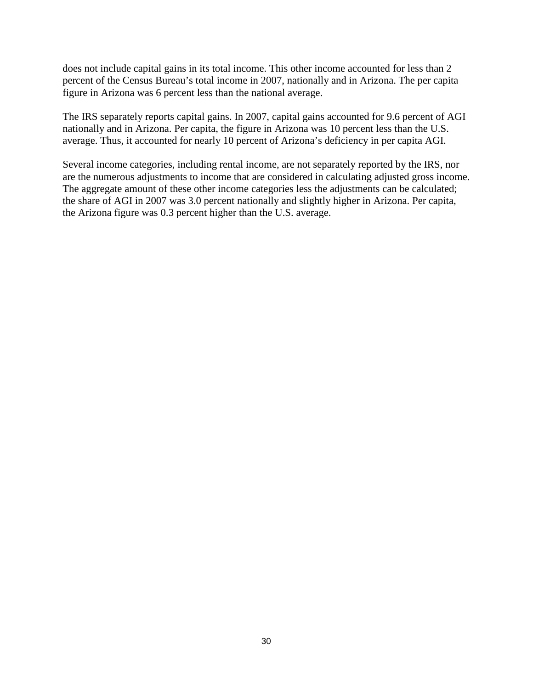does not include capital gains in its total income. This other income accounted for less than 2 percent of the Census Bureau's total income in 2007, nationally and in Arizona. The per capita figure in Arizona was 6 percent less than the national average.

The IRS separately reports capital gains. In 2007, capital gains accounted for 9.6 percent of AGI nationally and in Arizona. Per capita, the figure in Arizona was 10 percent less than the U.S. average. Thus, it accounted for nearly 10 percent of Arizona's deficiency in per capita AGI.

Several income categories, including rental income, are not separately reported by the IRS, nor are the numerous adjustments to income that are considered in calculating adjusted gross income. The aggregate amount of these other income categories less the adjustments can be calculated; the share of AGI in 2007 was 3.0 percent nationally and slightly higher in Arizona. Per capita, the Arizona figure was 0.3 percent higher than the U.S. average.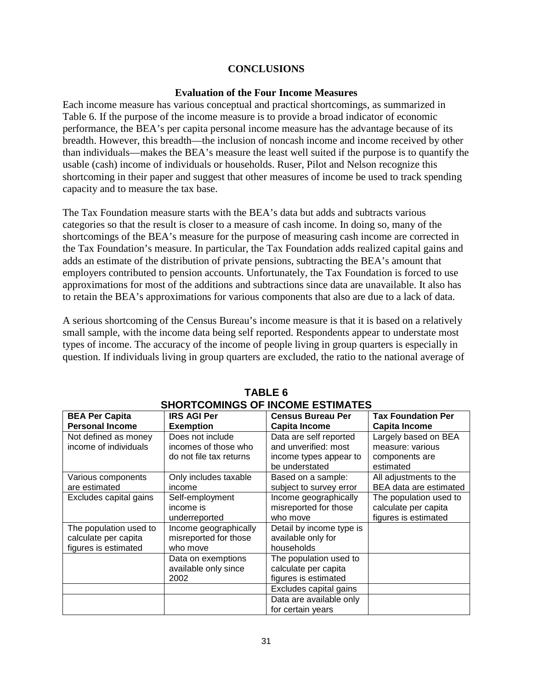## **CONCLUSIONS**

#### **Evaluation of the Four Income Measures**

Each income measure has various conceptual and practical shortcomings, as summarized in Table 6. If the purpose of the income measure is to provide a broad indicator of economic performance, the BEA's per capita personal income measure has the advantage because of its breadth. However, this breadth—the inclusion of noncash income and income received by other than individuals—makes the BEA's measure the least well suited if the purpose is to quantify the usable (cash) income of individuals or households. Ruser, Pilot and Nelson recognize this shortcoming in their paper and suggest that other measures of income be used to track spending capacity and to measure the tax base.

The Tax Foundation measure starts with the BEA's data but adds and subtracts various categories so that the result is closer to a measure of cash income. In doing so, many of the shortcomings of the BEA's measure for the purpose of measuring cash income are corrected in the Tax Foundation's measure. In particular, the Tax Foundation adds realized capital gains and adds an estimate of the distribution of private pensions, subtracting the BEA's amount that employers contributed to pension accounts. Unfortunately, the Tax Foundation is forced to use approximations for most of the additions and subtractions since data are unavailable. It also has to retain the BEA's approximations for various components that also are due to a lack of data.

A serious shortcoming of the Census Bureau's income measure is that it is based on a relatively small sample, with the income data being self reported. Respondents appear to understate most types of income. The accuracy of the income of people living in group quarters is especially in question. If individuals living in group quarters are excluded, the ratio to the national average of

| <b>BEA Per Capita</b>  | <b>IRS AGI Per</b>      | <b>Census Bureau Per</b>                 | <b>Tax Foundation Per</b>   |
|------------------------|-------------------------|------------------------------------------|-----------------------------|
| <b>Personal Income</b> | <b>Exemption</b>        | Capita Income                            | Capita Income               |
| Not defined as money   | Does not include        | Data are self reported                   | Largely based on BEA        |
| income of individuals  | incomes of those who    | and unverified: most                     | measure: various            |
|                        | do not file tax returns | income types appear to<br>be understated | components are<br>estimated |
| Various components     | Only includes taxable   | Based on a sample:                       | All adjustments to the      |
| are estimated          | income                  | subject to survey error                  | BEA data are estimated      |
| Excludes capital gains | Self-employment         | Income geographically                    | The population used to      |
|                        | income is               | misreported for those                    | calculate per capita        |
|                        | underreported           | who move                                 | figures is estimated        |
| The population used to | Income geographically   | Detail by income type is                 |                             |
| calculate per capita   | misreported for those   | available only for                       |                             |
| figures is estimated   | who move                | households                               |                             |
|                        | Data on exemptions      | The population used to                   |                             |
|                        | available only since    | calculate per capita                     |                             |
|                        | 2002                    | figures is estimated                     |                             |
|                        |                         | Excludes capital gains                   |                             |
|                        |                         | Data are available only                  |                             |
|                        |                         | for certain years                        |                             |

#### **TABLE 6 SHORTCOMINGS OF INCOME ESTIMATES**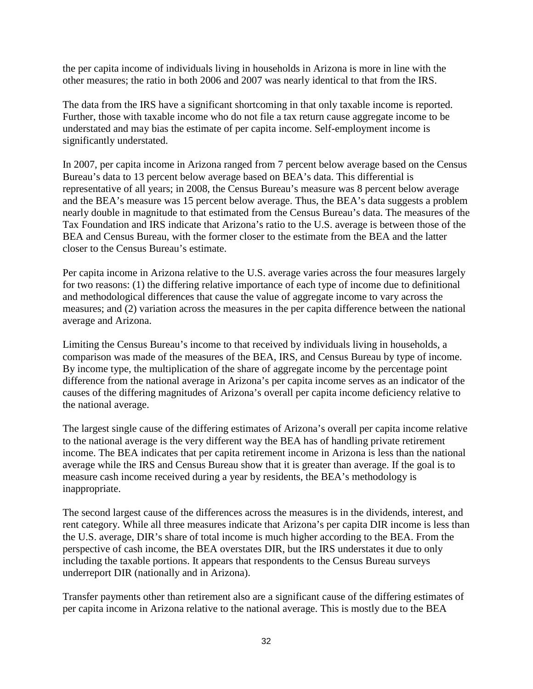the per capita income of individuals living in households in Arizona is more in line with the other measures; the ratio in both 2006 and 2007 was nearly identical to that from the IRS.

The data from the IRS have a significant shortcoming in that only taxable income is reported. Further, those with taxable income who do not file a tax return cause aggregate income to be understated and may bias the estimate of per capita income. Self-employment income is significantly understated.

In 2007, per capita income in Arizona ranged from 7 percent below average based on the Census Bureau's data to 13 percent below average based on BEA's data. This differential is representative of all years; in 2008, the Census Bureau's measure was 8 percent below average and the BEA's measure was 15 percent below average. Thus, the BEA's data suggests a problem nearly double in magnitude to that estimated from the Census Bureau's data. The measures of the Tax Foundation and IRS indicate that Arizona's ratio to the U.S. average is between those of the BEA and Census Bureau, with the former closer to the estimate from the BEA and the latter closer to the Census Bureau's estimate.

Per capita income in Arizona relative to the U.S. average varies across the four measures largely for two reasons: (1) the differing relative importance of each type of income due to definitional and methodological differences that cause the value of aggregate income to vary across the measures; and (2) variation across the measures in the per capita difference between the national average and Arizona.

Limiting the Census Bureau's income to that received by individuals living in households, a comparison was made of the measures of the BEA, IRS, and Census Bureau by type of income. By income type, the multiplication of the share of aggregate income by the percentage point difference from the national average in Arizona's per capita income serves as an indicator of the causes of the differing magnitudes of Arizona's overall per capita income deficiency relative to the national average.

The largest single cause of the differing estimates of Arizona's overall per capita income relative to the national average is the very different way the BEA has of handling private retirement income. The BEA indicates that per capita retirement income in Arizona is less than the national average while the IRS and Census Bureau show that it is greater than average. If the goal is to measure cash income received during a year by residents, the BEA's methodology is inappropriate.

The second largest cause of the differences across the measures is in the dividends, interest, and rent category. While all three measures indicate that Arizona's per capita DIR income is less than the U.S. average, DIR's share of total income is much higher according to the BEA. From the perspective of cash income, the BEA overstates DIR, but the IRS understates it due to only including the taxable portions. It appears that respondents to the Census Bureau surveys underreport DIR (nationally and in Arizona).

Transfer payments other than retirement also are a significant cause of the differing estimates of per capita income in Arizona relative to the national average. This is mostly due to the BEA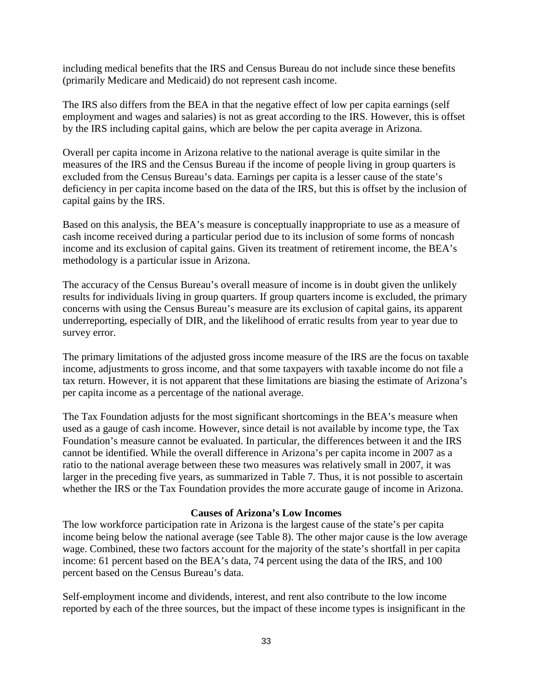including medical benefits that the IRS and Census Bureau do not include since these benefits (primarily Medicare and Medicaid) do not represent cash income.

The IRS also differs from the BEA in that the negative effect of low per capita earnings (self employment and wages and salaries) is not as great according to the IRS. However, this is offset by the IRS including capital gains, which are below the per capita average in Arizona.

Overall per capita income in Arizona relative to the national average is quite similar in the measures of the IRS and the Census Bureau if the income of people living in group quarters is excluded from the Census Bureau's data. Earnings per capita is a lesser cause of the state's deficiency in per capita income based on the data of the IRS, but this is offset by the inclusion of capital gains by the IRS.

Based on this analysis, the BEA's measure is conceptually inappropriate to use as a measure of cash income received during a particular period due to its inclusion of some forms of noncash income and its exclusion of capital gains. Given its treatment of retirement income, the BEA's methodology is a particular issue in Arizona.

The accuracy of the Census Bureau's overall measure of income is in doubt given the unlikely results for individuals living in group quarters. If group quarters income is excluded, the primary concerns with using the Census Bureau's measure are its exclusion of capital gains, its apparent underreporting, especially of DIR, and the likelihood of erratic results from year to year due to survey error.

The primary limitations of the adjusted gross income measure of the IRS are the focus on taxable income, adjustments to gross income, and that some taxpayers with taxable income do not file a tax return. However, it is not apparent that these limitations are biasing the estimate of Arizona's per capita income as a percentage of the national average.

The Tax Foundation adjusts for the most significant shortcomings in the BEA's measure when used as a gauge of cash income. However, since detail is not available by income type, the Tax Foundation's measure cannot be evaluated. In particular, the differences between it and the IRS cannot be identified. While the overall difference in Arizona's per capita income in 2007 as a ratio to the national average between these two measures was relatively small in 2007, it was larger in the preceding five years, as summarized in Table 7. Thus, it is not possible to ascertain whether the IRS or the Tax Foundation provides the more accurate gauge of income in Arizona.

## **Causes of Arizona's Low Incomes**

The low workforce participation rate in Arizona is the largest cause of the state's per capita income being below the national average (see Table 8). The other major cause is the low average wage. Combined, these two factors account for the majority of the state's shortfall in per capita income: 61 percent based on the BEA's data, 74 percent using the data of the IRS, and 100 percent based on the Census Bureau's data.

Self-employment income and dividends, interest, and rent also contribute to the low income reported by each of the three sources, but the impact of these income types is insignificant in the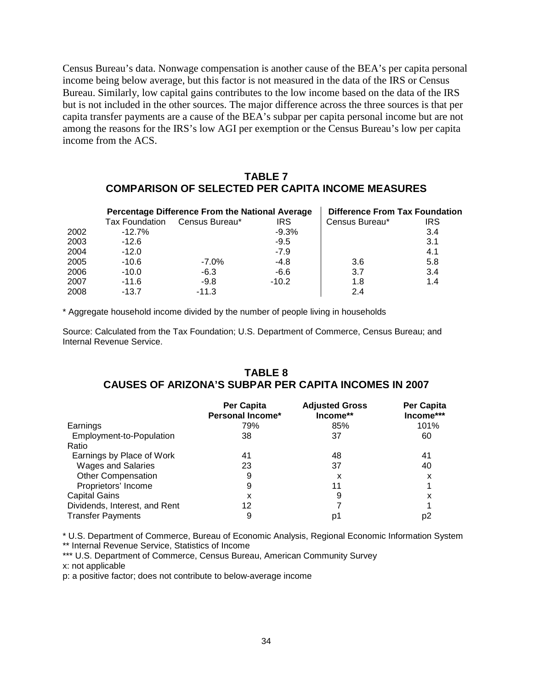Census Bureau's data. Nonwage compensation is another cause of the BEA's per capita personal income being below average, but this factor is not measured in the data of the IRS or Census Bureau. Similarly, low capital gains contributes to the low income based on the data of the IRS but is not included in the other sources. The major difference across the three sources is that per capita transfer payments are a cause of the BEA's subpar per capita personal income but are not among the reasons for the IRS's low AGI per exemption or the Census Bureau's low per capita income from the ACS.

## **TABLE 7 COMPARISON OF SELECTED PER CAPITA INCOME MEASURES**

|      |                       | Percentage Difference From the National Average | <b>Difference From Tax Foundation</b> |                |            |
|------|-----------------------|-------------------------------------------------|---------------------------------------|----------------|------------|
|      | <b>Tax Foundation</b> | Census Bureau*                                  | <b>IRS</b>                            | Census Bureau* | <b>IRS</b> |
| 2002 | $-12.7%$              |                                                 | $-9.3%$                               |                | 3.4        |
| 2003 | $-12.6$               |                                                 | $-9.5$                                |                | 3.1        |
| 2004 | $-12.0$               |                                                 | $-7.9$                                |                | 4.1        |
| 2005 | $-10.6$               | $-7.0\%$                                        | $-4.8$                                | 3.6            | 5.8        |
| 2006 | $-10.0$               | $-6.3$                                          | -6.6                                  | 3.7            | 3.4        |
| 2007 | $-11.6$               | $-9.8$                                          | $-10.2$                               | 1.8            | 1.4        |
| 2008 | $-13.7$               | $-11.3$                                         |                                       | 2.4            |            |

\* Aggregate household income divided by the number of people living in households

Source: Calculated from the Tax Foundation; U.S. Department of Commerce, Census Bureau; and Internal Revenue Service.

## **TABLE 8 CAUSES OF ARIZONA'S SUBPAR PER CAPITA INCOMES IN 2007**

|                               | <b>Per Capita</b><br>Personal Income* | <b>Adjusted Gross</b><br>Income** | Per Capita<br>Income*** |
|-------------------------------|---------------------------------------|-----------------------------------|-------------------------|
| Earnings                      | 79%                                   | 85%                               | 101%                    |
| Employment-to-Population      | 38                                    | 37                                | 60                      |
| Ratio                         |                                       |                                   |                         |
| Earnings by Place of Work     | 41                                    | 48                                | 41                      |
| <b>Wages and Salaries</b>     | 23                                    | 37                                | 40                      |
| <b>Other Compensation</b>     | 9                                     | x                                 | x                       |
| Proprietors' Income           | 9                                     | 11                                |                         |
| <b>Capital Gains</b>          | x                                     | 9                                 | x                       |
| Dividends, Interest, and Rent | 12                                    |                                   |                         |
| <b>Transfer Payments</b>      | 9                                     | p١                                | p2                      |

\* U.S. Department of Commerce, Bureau of Economic Analysis, Regional Economic Information System \*\* Internal Revenue Service, Statistics of Income

\*\*\* U.S. Department of Commerce, Census Bureau, American Community Survey

x: not applicable

p: a positive factor; does not contribute to below-average income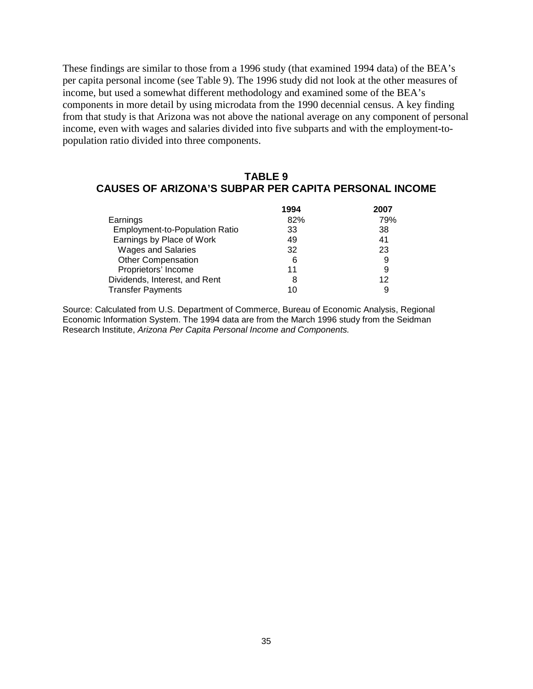These findings are similar to those from a 1996 study (that examined 1994 data) of the BEA's per capita personal income (see Table 9). The 1996 study did not look at the other measures of income, but used a somewhat different methodology and examined some of the BEA's components in more detail by using microdata from the 1990 decennial census. A key finding from that study is that Arizona was not above the national average on any component of personal income, even with wages and salaries divided into five subparts and with the employment-topopulation ratio divided into three components.

# **TABLE 9 CAUSES OF ARIZONA'S SUBPAR PER CAPITA PERSONAL INCOME**

|                                | 1994 | 2007 |
|--------------------------------|------|------|
| Earnings                       | 82%  | 79%  |
| Employment-to-Population Ratio | 33   | 38   |
| Earnings by Place of Work      | 49   | 41   |
| <b>Wages and Salaries</b>      | 32   | 23   |
| <b>Other Compensation</b>      | 6    | 9    |
| Proprietors' Income            | 11   | 9    |
| Dividends, Interest, and Rent  | 8    | 12   |
| <b>Transfer Payments</b>       | 10   | 9    |

Source: Calculated from U.S. Department of Commerce, Bureau of Economic Analysis, Regional Economic Information System. The 1994 data are from the March 1996 study from the Seidman Research Institute, *Arizona Per Capita Personal Income and Components.*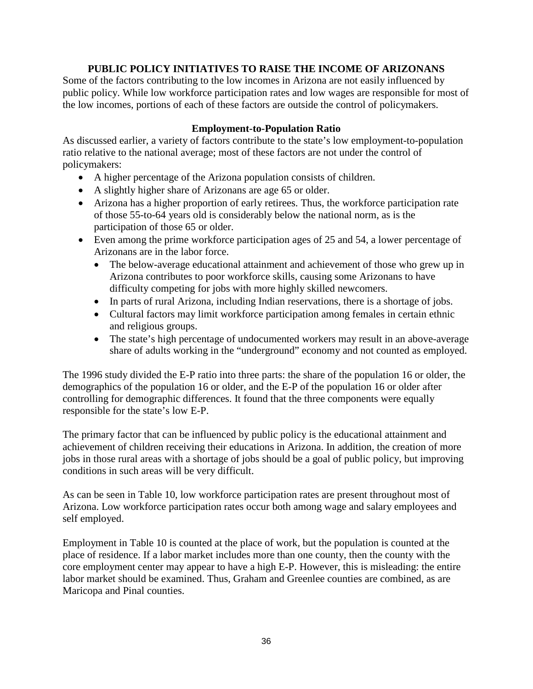## **PUBLIC POLICY INITIATIVES TO RAISE THE INCOME OF ARIZONANS**

Some of the factors contributing to the low incomes in Arizona are not easily influenced by public policy. While low workforce participation rates and low wages are responsible for most of the low incomes, portions of each of these factors are outside the control of policymakers.

## **Employment-to-Population Ratio**

As discussed earlier, a variety of factors contribute to the state's low employment-to-population ratio relative to the national average; most of these factors are not under the control of policymakers:

- A higher percentage of the Arizona population consists of children.
- A slightly higher share of Arizonans are age 65 or older.
- Arizona has a higher proportion of early retirees. Thus, the workforce participation rate of those 55-to-64 years old is considerably below the national norm, as is the participation of those 65 or older.
- Even among the prime workforce participation ages of 25 and 54, a lower percentage of Arizonans are in the labor force.
	- The below-average educational attainment and achievement of those who grew up in Arizona contributes to poor workforce skills, causing some Arizonans to have difficulty competing for jobs with more highly skilled newcomers.
	- In parts of rural Arizona, including Indian reservations, there is a shortage of jobs.
	- Cultural factors may limit workforce participation among females in certain ethnic and religious groups.
	- The state's high percentage of undocumented workers may result in an above-average share of adults working in the "underground" economy and not counted as employed.

The 1996 study divided the E-P ratio into three parts: the share of the population 16 or older, the demographics of the population 16 or older, and the E-P of the population 16 or older after controlling for demographic differences. It found that the three components were equally responsible for the state's low E-P.

The primary factor that can be influenced by public policy is the educational attainment and achievement of children receiving their educations in Arizona. In addition, the creation of more jobs in those rural areas with a shortage of jobs should be a goal of public policy, but improving conditions in such areas will be very difficult.

As can be seen in Table 10, low workforce participation rates are present throughout most of Arizona. Low workforce participation rates occur both among wage and salary employees and self employed.

Employment in Table 10 is counted at the place of work, but the population is counted at the place of residence. If a labor market includes more than one county, then the county with the core employment center may appear to have a high E-P. However, this is misleading: the entire labor market should be examined. Thus, Graham and Greenlee counties are combined, as are Maricopa and Pinal counties.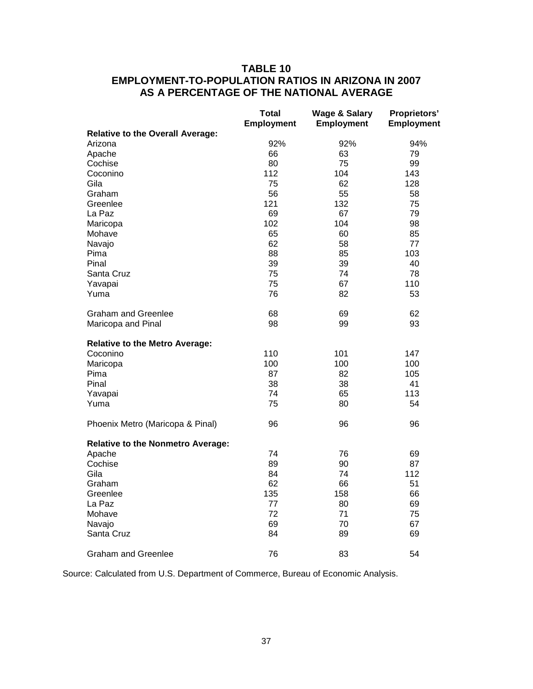## **TABLE 10 EMPLOYMENT-TO-POPULATION RATIOS IN ARIZONA IN 2007 AS A PERCENTAGE OF THE NATIONAL AVERAGE**

|                                          | <b>Total</b><br><b>Employment</b> | <b>Wage &amp; Salary</b><br><b>Employment</b> | Proprietors'<br>Employment |
|------------------------------------------|-----------------------------------|-----------------------------------------------|----------------------------|
| <b>Relative to the Overall Average:</b>  |                                   |                                               |                            |
| Arizona                                  | 92%                               | 92%                                           | 94%                        |
| Apache                                   | 66                                | 63                                            | 79                         |
| Cochise                                  | 80                                | 75                                            | 99                         |
| Coconino                                 | 112                               | 104                                           | 143                        |
| Gila                                     | 75                                | 62                                            | 128                        |
| Graham                                   | 56                                | 55                                            | 58                         |
| Greenlee                                 | 121                               | 132                                           | 75                         |
| La Paz                                   | 69                                | 67                                            | 79                         |
| Maricopa                                 | 102                               | 104                                           | 98                         |
| Mohave                                   | 65                                | 60                                            | 85                         |
| Navajo                                   | 62                                | 58                                            | 77                         |
| Pima                                     | 88                                | 85                                            | 103                        |
| Pinal                                    | 39                                | 39                                            | 40                         |
| Santa Cruz                               | 75                                | 74                                            | 78                         |
| Yavapai                                  | 75                                | 67                                            | 110                        |
| Yuma                                     | 76                                | 82                                            | 53                         |
| <b>Graham and Greenlee</b>               | 68                                | 69                                            | 62                         |
| Maricopa and Pinal                       | 98                                | 99                                            | 93                         |
| <b>Relative to the Metro Average:</b>    |                                   |                                               |                            |
| Coconino                                 | 110                               | 101                                           | 147                        |
| Maricopa                                 | 100                               | 100                                           | 100                        |
| Pima                                     | 87                                | 82                                            | 105                        |
| Pinal                                    | 38                                | 38                                            | 41                         |
| Yavapai                                  | 74                                | 65                                            | 113                        |
| Yuma                                     | 75                                | 80                                            | 54                         |
| Phoenix Metro (Maricopa & Pinal)         | 96                                | 96                                            | 96                         |
| <b>Relative to the Nonmetro Average:</b> |                                   |                                               |                            |
| Apache                                   | 74                                | 76                                            | 69                         |
| Cochise                                  | 89                                | 90                                            | 87                         |
| Gila                                     | 84                                | 74                                            | 112                        |
| Graham                                   | 62                                | 66                                            | 51                         |
| Greenlee                                 | 135                               | 158                                           | 66                         |
| La Paz                                   | 77                                | 80                                            | 69                         |
| Mohave                                   | 72                                | 71                                            | 75                         |
| Navajo                                   | 69                                | 70                                            | 67                         |
| Santa Cruz                               | 84                                | 89                                            | 69                         |
| Graham and Greenlee                      | 76                                | 83                                            | 54                         |

Source: Calculated from U.S. Department of Commerce, Bureau of Economic Analysis.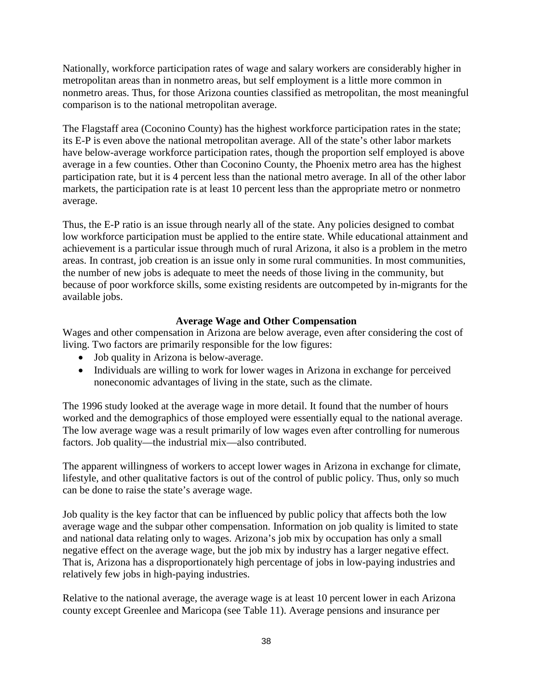Nationally, workforce participation rates of wage and salary workers are considerably higher in metropolitan areas than in nonmetro areas, but self employment is a little more common in nonmetro areas. Thus, for those Arizona counties classified as metropolitan, the most meaningful comparison is to the national metropolitan average.

The Flagstaff area (Coconino County) has the highest workforce participation rates in the state; its E-P is even above the national metropolitan average. All of the state's other labor markets have below-average workforce participation rates, though the proportion self employed is above average in a few counties. Other than Coconino County, the Phoenix metro area has the highest participation rate, but it is 4 percent less than the national metro average. In all of the other labor markets, the participation rate is at least 10 percent less than the appropriate metro or nonmetro average.

Thus, the E-P ratio is an issue through nearly all of the state. Any policies designed to combat low workforce participation must be applied to the entire state. While educational attainment and achievement is a particular issue through much of rural Arizona, it also is a problem in the metro areas. In contrast, job creation is an issue only in some rural communities. In most communities, the number of new jobs is adequate to meet the needs of those living in the community, but because of poor workforce skills, some existing residents are outcompeted by in-migrants for the available jobs.

## **Average Wage and Other Compensation**

Wages and other compensation in Arizona are below average, even after considering the cost of living. Two factors are primarily responsible for the low figures:

- Job quality in Arizona is below-average.
- Individuals are willing to work for lower wages in Arizona in exchange for perceived noneconomic advantages of living in the state, such as the climate.

The 1996 study looked at the average wage in more detail. It found that the number of hours worked and the demographics of those employed were essentially equal to the national average. The low average wage was a result primarily of low wages even after controlling for numerous factors. Job quality—the industrial mix—also contributed.

The apparent willingness of workers to accept lower wages in Arizona in exchange for climate, lifestyle, and other qualitative factors is out of the control of public policy. Thus, only so much can be done to raise the state's average wage.

Job quality is the key factor that can be influenced by public policy that affects both the low average wage and the subpar other compensation. Information on job quality is limited to state and national data relating only to wages. Arizona's job mix by occupation has only a small negative effect on the average wage, but the job mix by industry has a larger negative effect. That is, Arizona has a disproportionately high percentage of jobs in low-paying industries and relatively few jobs in high-paying industries.

Relative to the national average, the average wage is at least 10 percent lower in each Arizona county except Greenlee and Maricopa (see Table 11). Average pensions and insurance per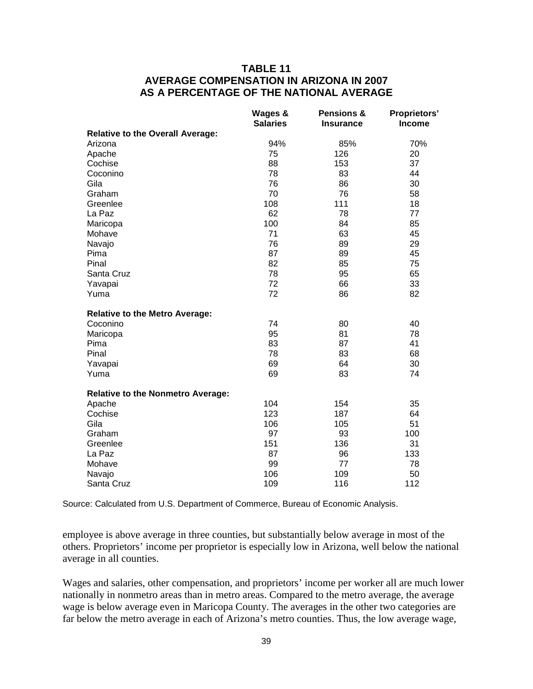## **TABLE 11 AVERAGE COMPENSATION IN ARIZONA IN 2007 AS A PERCENTAGE OF THE NATIONAL AVERAGE**

|                                          | Wages &<br><b>Salaries</b> | <b>Pensions &amp;</b><br><b>Insurance</b> | <b>Proprietors'</b><br><b>Income</b> |
|------------------------------------------|----------------------------|-------------------------------------------|--------------------------------------|
| <b>Relative to the Overall Average:</b>  |                            |                                           |                                      |
| Arizona                                  | 94%                        | 85%                                       | 70%                                  |
| Apache                                   | 75                         | 126                                       | 20                                   |
| Cochise                                  | 88                         | 153                                       | 37                                   |
| Coconino                                 | 78                         | 83                                        | 44                                   |
| Gila                                     | 76                         | 86                                        | 30                                   |
| Graham                                   | 70                         | 76                                        | 58                                   |
| Greenlee                                 | 108                        | 111                                       | 18                                   |
| La Paz                                   | 62                         | 78                                        | 77                                   |
| Maricopa                                 | 100                        | 84                                        | 85                                   |
| Mohave                                   | 71                         | 63                                        | 45                                   |
| Navajo                                   | 76                         | 89                                        | 29                                   |
| Pima                                     | 87                         | 89                                        | 45                                   |
| Pinal                                    | 82                         | 85                                        | 75                                   |
| Santa Cruz                               | 78                         | 95                                        | 65                                   |
| Yavapai                                  | 72                         | 66                                        | 33                                   |
| Yuma                                     | 72                         | 86                                        | 82                                   |
| <b>Relative to the Metro Average:</b>    |                            |                                           |                                      |
| Coconino                                 | 74                         | 80                                        | 40                                   |
| Maricopa                                 | 95                         | 81                                        | 78                                   |
| Pima                                     | 83                         | 87                                        | 41                                   |
| Pinal                                    | 78                         | 83                                        | 68                                   |
| Yavapai                                  | 69                         | 64                                        | 30                                   |
| Yuma                                     | 69                         | 83                                        | 74                                   |
| <b>Relative to the Nonmetro Average:</b> |                            |                                           |                                      |
| Apache                                   | 104                        | 154                                       | 35                                   |
| Cochise                                  | 123                        | 187                                       | 64                                   |
| Gila                                     | 106                        | 105                                       | 51                                   |
| Graham                                   | 97                         | 93                                        | 100                                  |
| Greenlee                                 | 151                        | 136                                       | 31                                   |
| La Paz                                   | 87                         | 96                                        | 133                                  |
| Mohave                                   | 99                         | 77                                        | 78                                   |
| Navajo                                   | 106                        | 109                                       | 50                                   |
| Santa Cruz                               | 109                        | 116                                       | 112                                  |

Source: Calculated from U.S. Department of Commerce, Bureau of Economic Analysis.

employee is above average in three counties, but substantially below average in most of the others. Proprietors' income per proprietor is especially low in Arizona, well below the national average in all counties.

Wages and salaries, other compensation, and proprietors' income per worker all are much lower nationally in nonmetro areas than in metro areas. Compared to the metro average, the average wage is below average even in Maricopa County. The averages in the other two categories are far below the metro average in each of Arizona's metro counties. Thus, the low average wage,